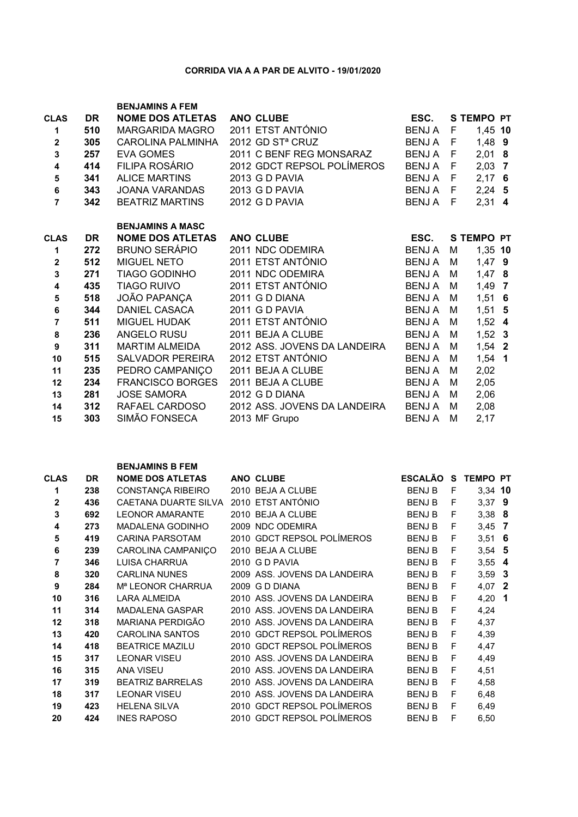## CORRIDA VIA A A PAR DE ALVITO - 19/01/2020

| <b>CLAS</b><br>1<br>$\overline{\mathbf{2}}$<br>$\overline{\mathbf{3}}$<br>$\overline{\mathbf{4}}$<br>${\bf 5}$<br>6<br>$\overline{7}$ | <b>DR</b><br>510<br>305<br>257<br>414<br>341<br>343<br>342 | <b>BENJAMINS A FEM</b><br><b>NOME DOS ATLETAS</b><br><b>MARGARIDA MAGRO</b><br><b>CAROLINA PALMINHA</b><br><b>EVA GOMES</b><br>FILIPA ROSÁRIO<br><b>ALICE MARTINS</b><br>JOANA VARANDAS<br><b>BEATRIZ MARTINS</b> | <b>ANO CLUBE</b><br>2011 ETST ANTÓNIO<br>2012 GD ST <sup>a</sup> CRUZ<br>2011 C BENF REG MONSARAZ<br>2012 GDCT REPSOL POLÍMEROS<br>2013 G D PAVIA<br>2013 G D PAVIA<br>2012 G D PAVIA | ESC.<br><b>BENJA</b><br>BENJ A<br>BENJA F<br>BENJA F<br>BENJA F<br>BENJA F<br><b>BENJ A</b> | $\mathsf{F}$<br>F<br>F | <b>S TEMPO PT</b><br>1,45 10<br>$1,48$ 9<br>$2,01$ 8<br>$2,03$ 7<br>$2,17$ 6<br>$2,24$ 5<br>$2,31$ 4 |
|---------------------------------------------------------------------------------------------------------------------------------------|------------------------------------------------------------|-------------------------------------------------------------------------------------------------------------------------------------------------------------------------------------------------------------------|---------------------------------------------------------------------------------------------------------------------------------------------------------------------------------------|---------------------------------------------------------------------------------------------|------------------------|------------------------------------------------------------------------------------------------------|
|                                                                                                                                       |                                                            | <b>BENJAMINS A MASC</b>                                                                                                                                                                                           |                                                                                                                                                                                       |                                                                                             |                        |                                                                                                      |
| <b>CLAS</b>                                                                                                                           | <b>DR</b>                                                  | <b>NOME DOS ATLETAS</b>                                                                                                                                                                                           | <b>ANO CLUBE</b>                                                                                                                                                                      | ESC.                                                                                        |                        | <b>S TEMPO PT</b>                                                                                    |
| 1                                                                                                                                     | 272                                                        | <b>BRUNO SERÁPIO</b>                                                                                                                                                                                              | 2011 NDC ODEMIRA                                                                                                                                                                      | <b>BENJA</b>                                                                                | М                      | 1,35 10                                                                                              |
| $\mathbf{2}$                                                                                                                          | 512                                                        | <b>MIGUEL NETO</b>                                                                                                                                                                                                | 2011 ETST ANTÓNIO                                                                                                                                                                     | <b>BENJA</b>                                                                                | М                      | $1,47$ 9                                                                                             |
| $\overline{\mathbf{3}}$                                                                                                               | 271                                                        | TIAGO GODINHO                                                                                                                                                                                                     | 2011 NDC ODEMIRA                                                                                                                                                                      | <b>BENJA</b>                                                                                | М                      | $1,47$ 8                                                                                             |
| $\overline{\mathbf{4}}$                                                                                                               | 435                                                        | <b>TIAGO RUIVO</b>                                                                                                                                                                                                | 2011 ETST ANTÓNIO                                                                                                                                                                     | <b>BENJA</b>                                                                                | M                      | $1,49$ 7                                                                                             |
| 5                                                                                                                                     | 518                                                        | JOÃO PAPANÇA                                                                                                                                                                                                      | 2011 G D DIANA                                                                                                                                                                        | <b>BENJA</b>                                                                                | M                      | $1,51$ 6                                                                                             |
| 6                                                                                                                                     | 344                                                        | <b>DANIEL CASACA</b>                                                                                                                                                                                              | 2011 G D PAVIA                                                                                                                                                                        | <b>BENJA</b>                                                                                | М                      | $1,51$ 5                                                                                             |
| $\overline{7}$                                                                                                                        | 511                                                        | MIGUEL HUDAK                                                                                                                                                                                                      | 2011 ETST ANTÓNIO                                                                                                                                                                     | <b>BENJA</b>                                                                                | М                      | $1,52$ 4                                                                                             |
| 8                                                                                                                                     | 236                                                        | ANGELO RUSU                                                                                                                                                                                                       | 2011 BEJA A CLUBE                                                                                                                                                                     | <b>BENJA</b>                                                                                | M                      | $1,52$ 3                                                                                             |
| $\boldsymbol{9}$                                                                                                                      | 311                                                        | <b>MARTIM ALMEIDA</b>                                                                                                                                                                                             | 2012 ASS. JOVENS DA LANDEIRA                                                                                                                                                          | <b>BENJA</b>                                                                                | M                      | $1,54$ 2                                                                                             |
| 10                                                                                                                                    | 515                                                        | SALVADOR PEREIRA                                                                                                                                                                                                  | 2012 ETST ANTÓNIO                                                                                                                                                                     | <b>BENJA</b>                                                                                | M                      | $1,54$ 1                                                                                             |
| 11                                                                                                                                    | 235                                                        | PEDRO CAMPANIÇO                                                                                                                                                                                                   | 2011 BEJA A CLUBE                                                                                                                                                                     | <b>BENJA</b>                                                                                | M                      | 2,02                                                                                                 |
| 12                                                                                                                                    | 234                                                        | <b>FRANCISCO BORGES</b>                                                                                                                                                                                           | 2011 BEJA A CLUBE                                                                                                                                                                     | <b>BENJA</b>                                                                                | M                      | 2,05                                                                                                 |
| 13                                                                                                                                    | 281                                                        | <b>JOSE SAMORA</b>                                                                                                                                                                                                | 2012 G D DIANA                                                                                                                                                                        | <b>BENJA</b>                                                                                | M                      | 2,06                                                                                                 |
| 14                                                                                                                                    | 312                                                        | RAFAEL CARDOSO                                                                                                                                                                                                    | 2012 ASS. JOVENS DA LANDEIRA                                                                                                                                                          | <b>BENJA</b>                                                                                | M                      | 2,08                                                                                                 |
| 15                                                                                                                                    | 303                                                        | SIMÃO FONSECA                                                                                                                                                                                                     | 2013 MF Grupo                                                                                                                                                                         | <b>BENJA</b>                                                                                | м                      | 2,17                                                                                                 |

| <b>CLAS</b>  | <b>DR</b> | <b>NOME DOS ATLETAS</b>       | ANO CLUBE                    | <b>ESCALÃO</b> | S. | <b>TEMPO PT</b> |  |
|--------------|-----------|-------------------------------|------------------------------|----------------|----|-----------------|--|
| 1            | 238       | CONSTANÇA RIBEIRO             | 2010 BEJA A CLUBE            | <b>BENJ B</b>  | F  | 3,34 10         |  |
| $\mathbf{2}$ | 436       | CAETANA DUARTE SILVA          | 2010 ETST ANTÓNIO            | <b>BENJ B</b>  | F  | $3,37$ 9        |  |
| 3            | 692       | <b>LEONOR AMARANTE</b>        | 2010 BEJA A CLUBE            | <b>BENJ B</b>  | F  | $3,38$ 8        |  |
| 4            | 273       | <b>MADALENA GODINHO</b>       | 2009 NDC ODEMIRA             | <b>BENJ B</b>  | F  | $3,45$ 7        |  |
| 5            | 419       | <b>CARINA PARSOTAM</b>        | 2010 GDCT REPSOL POLÍMEROS   | <b>BENJ B</b>  | F  | $3,51$ 6        |  |
| 6            | 239       | CAROLINA CAMPANIÇO            | 2010 BEJA A CLUBE            | <b>BENJ B</b>  | F  | $3,54$ 5        |  |
| 7            | 346       | <b>LUISA CHARRUA</b>          | 2010 G D PAVIA               | <b>BENJ B</b>  | F  | $3,55$ 4        |  |
| 8            | 320       | <b>CARLINA NUNES</b>          | 2009 ASS, JOVENS DA LANDEIRA | <b>BENJ B</b>  | F  | $3,59$ 3        |  |
| 9            | 284       | M <sup>a</sup> LEONOR CHARRUA | 2009 G D DIANA               | <b>BENJ B</b>  | F  | 4,07 2          |  |
| 10           | 316       | <b>LARA ALMEIDA</b>           | 2010 ASS, JOVENS DA LANDEIRA | <b>BENJ B</b>  | F  | $4,20$ 1        |  |
| 11           | 314       | <b>MADALENA GASPAR</b>        | 2010 ASS, JOVENS DA LANDEIRA | <b>BENJ B</b>  | F  | 4,24            |  |
| 12           | 318       | MARIANA PERDIGÃO              | 2010 ASS, JOVENS DA LANDEIRA | <b>BENJ B</b>  | F  | 4,37            |  |
| 13           | 420       | CAROLINA SANTOS               | 2010 GDCT REPSOL POLÍMEROS   | <b>BENJ B</b>  | F  | 4,39            |  |
| 14           | 418       | <b>BEATRICE MAZILU</b>        | 2010 GDCT REPSOL POLÍMEROS   | <b>BENJ B</b>  | F  | 4,47            |  |
| 15           | 317       | <b>LEONAR VISEU</b>           | 2010 ASS, JOVENS DA LANDEIRA | <b>BENJ B</b>  | F  | 4,49            |  |
| 16           | 315       | <b>ANA VISEU</b>              | 2010 ASS, JOVENS DA LANDEIRA | <b>BENJ B</b>  | F  | 4,51            |  |
| 17           | 319       | <b>BEATRIZ BARRELAS</b>       | 2010 ASS, JOVENS DA LANDEIRA | <b>BENJ B</b>  | F  | 4,58            |  |
| 18           | 317       | <b>LEONAR VISEU</b>           | 2010 ASS. JOVENS DA LANDEIRA | <b>BENJ B</b>  | F  | 6,48            |  |
| 19           | 423       | <b>HELENA SILVA</b>           | 2010 GDCT REPSOL POLÍMEROS   | <b>BENJ B</b>  | F  | 6,49            |  |
| 20           | 424       | <b>INES RAPOSO</b>            | 2010 GDCT REPSOL POLÍMEROS   | <b>BENJ B</b>  | F  | 6,50            |  |

BENJAMINS B FEM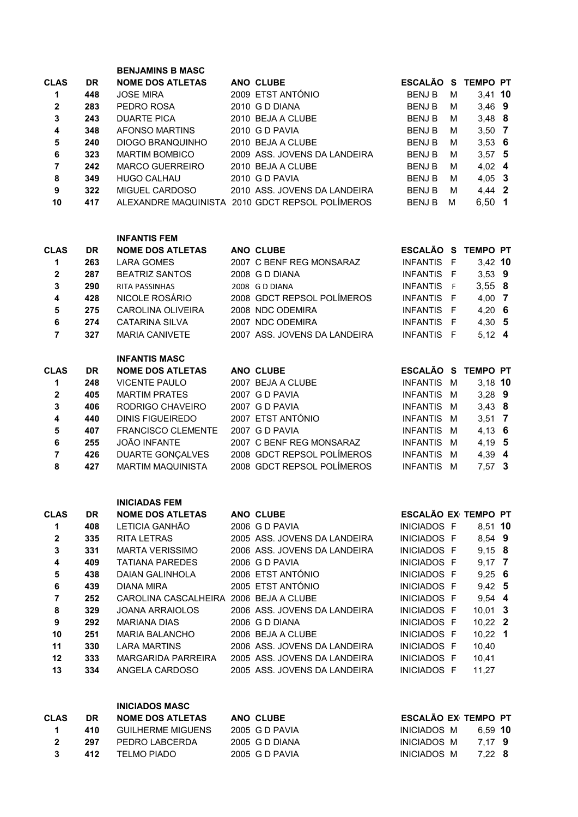|                         |           | <b>BENJAMINS B MASC</b>                |                                                 |                            |   |                 |  |
|-------------------------|-----------|----------------------------------------|-------------------------------------------------|----------------------------|---|-----------------|--|
| <b>CLAS</b>             | <b>DR</b> | <b>NOME DOS ATLETAS</b>                | ANO CLUBE                                       | ESCALÃO S TEMPO PT         |   |                 |  |
| 1                       | 448       | <b>JOSE MIRA</b>                       | 2009 ETST ANTÓNIO                               | <b>BENJ B</b>              | M | 3,41 10         |  |
| $\mathbf 2$             | 283       | PEDRO ROSA                             | 2010 G D DIANA                                  | <b>BENJ B</b>              | м | $3,46$ 9        |  |
| ${\bf 3}$               | 243       | <b>DUARTE PICA</b>                     | 2010 BEJA A CLUBE                               | <b>BENJB</b>               | м | $3,48$ 8        |  |
| 4                       | 348       | <b>AFONSO MARTINS</b>                  | 2010 G D PAVIA                                  | <b>BENJB</b>               | м | $3,50$ 7        |  |
|                         |           |                                        | 2010 BEJA A CLUBE                               |                            |   |                 |  |
| ${\bf 5}$               | 240       | <b>DIOGO BRANQUINHO</b>                |                                                 | <b>BENJB</b>               | M | $3,53$ 6        |  |
| 6                       | 323       | <b>MARTIM BOMBICO</b>                  | 2009 ASS. JOVENS DA LANDEIRA                    | <b>BENJB</b>               | м | $3,57$ 5        |  |
| $\overline{7}$          | 242       | <b>MARCO GUERREIRO</b>                 | 2010 BEJA A CLUBE                               | <b>BENJB</b>               | м | $4,02$ 4        |  |
| 8                       | 349       | <b>HUGO CALHAU</b>                     | 2010 G D PAVIA                                  | <b>BENJB</b>               | м | $4,05$ 3        |  |
| $\boldsymbol{9}$        | 322       | MIGUEL CARDOSO                         | 2010 ASS. JOVENS DA LANDEIRA                    | <b>BENJB</b>               | м | 4,44 2          |  |
| 10                      | 417       |                                        | ALEXANDRE MAQUINISTA 2010 GDCT REPSOL POLÍMEROS | <b>BENJ B</b>              | м | $6,50$ 1        |  |
|                         |           | <b>INFANTIS FEM</b>                    |                                                 |                            |   |                 |  |
| <b>CLAS</b>             | <b>DR</b> | <b>NOME DOS ATLETAS</b>                | ANO CLUBE                                       | ESCALÃO S TEMPO PT         |   |                 |  |
| 1                       | 263       | <b>LARA GOMES</b>                      | 2007 C BENF REG MONSARAZ                        | INFANTIS F                 |   | 3,42 10         |  |
| $\mathbf 2$             | 287       | <b>BEATRIZ SANTOS</b>                  | 2008 G D DIANA                                  | INFANTIS F                 |   | $3,53$ 9        |  |
| 3                       | 290       | RITA PASSINHAS                         | 2008 G D DIANA                                  | INFANTIS F                 |   | 3,558           |  |
| 4                       | 428       | NICOLE ROSÁRIO                         | 2008 GDCT REPSOL POLÍMEROS                      | INFANTIS F                 |   | $4,00$ 7        |  |
|                         |           |                                        |                                                 |                            |   |                 |  |
| ${\bf 5}$               | 275       | CAROLINA OLIVEIRA                      | 2008 NDC ODEMIRA                                | INFANTIS F                 |   | 4,20 6          |  |
| 6                       | 274       | <b>CATARINA SILVA</b>                  | 2007 NDC ODEMIRA                                | INFANTIS F                 |   | $4,30$ 5        |  |
| $\overline{7}$          | 327       | <b>MARIA CANIVETE</b>                  | 2007 ASS. JOVENS DA LANDEIRA                    | INFANTIS F                 |   | $5,12$ 4        |  |
|                         |           | <b>INFANTIS MASC</b>                   |                                                 |                            |   |                 |  |
| <b>CLAS</b>             | <b>DR</b> | <b>NOME DOS ATLETAS</b>                | ANO CLUBE                                       | <b>ESCALÃO S</b>           |   | <b>TEMPO PT</b> |  |
| 1                       | 248       | <b>VICENTE PAULO</b>                   | 2007 BEJA A CLUBE                               | INFANTIS M                 |   | $3,18$ 10       |  |
| $\mathbf 2$             | 405       | <b>MARTIM PRATES</b>                   | 2007 G D PAVIA                                  | INFANTIS M                 |   | $3,28$ 9        |  |
| ${\bf 3}$               | 406       | RODRIGO CHAVEIRO                       | 2007 G D PAVIA                                  | INFANTIS M                 |   | $3,43$ 8        |  |
| 4                       | 440       | <b>DINIS FIGUEIREDO</b>                | 2007 ETST ANTÓNIO                               | INFANTIS M                 |   | $3,51$ 7        |  |
| 5                       | 407       | <b>FRANCISCO CLEMENTE</b>              | 2007 G D PAVIA                                  | INFANTIS M                 |   | $4,13$ 6        |  |
| 6                       | 255       | <b>JOÃO INFANTE</b>                    | 2007 C BENF REG MONSARAZ                        | INFANTIS M                 |   | $4,19$ 5        |  |
|                         |           |                                        | 2008 GDCT REPSOL POLÍMEROS                      |                            |   |                 |  |
| $\overline{\mathbf{r}}$ | 426       | DUARTE GONÇALVES                       |                                                 | INFANTIS M                 |   | 4,39 4          |  |
| 8                       | 427       | <b>MARTIM MAQUINISTA</b>               | 2008 GDCT REPSOL POLÍMEROS                      | INFANTIS M                 |   | $7,57$ 3        |  |
|                         |           | <b>INICIADAS FEM</b>                   |                                                 |                            |   |                 |  |
| <b>CLAS</b>             | DR        | <b>NOME DOS ATLETAS</b>                | ANO CLUBE                                       | <b>ESCALÃO EX TEMPO PT</b> |   |                 |  |
| $\mathbf 1$             | 408       | LETICIA GANHÃO                         | 2006 G D PAVIA                                  | INICIADOS F                |   | 8,51 10         |  |
| $\mathbf 2$             | 335       | <b>RITA LETRAS</b>                     | 2005 ASS. JOVENS DA LANDEIRA                    | INICIADOS F                |   | 8,54 9          |  |
| 3                       | 331       | <b>MARTA VERISSIMO</b>                 | 2006 ASS. JOVENS DA LANDEIRA                    | INICIADOS F                |   | $9,15$ 8        |  |
| 4                       | 409       | <b>TATIANA PAREDES</b>                 | 2006 G D PAVIA                                  | INICIADOS F                |   | $9,17$ 7        |  |
| 5                       | 438       | DAIAN GALINHOLA                        | 2006 ETST ANTÓNIO                               | INICIADOS F                |   | $9,25$ 6        |  |
| 6                       | 439       | DIANA MIRA                             | 2005 ETST ANTÓNIO                               | INICIADOS F                |   | $9,42$ 5        |  |
| $\overline{7}$          | 252       | CAROLINA CASCALHEIRA 2006 BEJA A CLUBE |                                                 | INICIADOS F                |   | 9,54 4          |  |
| 8                       | 329       | <b>JOANA ARRAIOLOS</b>                 | 2006 ASS. JOVENS DA LANDEIRA                    | INICIADOS F                |   | $10,01$ 3       |  |
| $\boldsymbol{9}$        | 292       | <b>MARIANA DIAS</b>                    | 2006 G D DIANA                                  | INICIADOS F                |   | $10,22$ 2       |  |
|                         |           |                                        |                                                 |                            |   |                 |  |
| 10                      | 251       | <b>MARIA BALANCHO</b>                  | 2006 BEJA A CLUBE                               | INICIADOS F                |   | $10,22$ 1       |  |
| 11                      | 330       | LARA MARTINS                           | 2006 ASS. JOVENS DA LANDEIRA                    | INICIADOS F                |   | 10,40           |  |
| 12                      | 333       | MARGARIDA PARREIRA                     | 2005 ASS. JOVENS DA LANDEIRA                    | INICIADOS F                |   | 10,41           |  |
| 13                      | 334       | ANGELA CARDOSO                         | 2005 ASS. JOVENS DA LANDEIRA                    | INICIADOS F                |   | 11,27           |  |
|                         |           |                                        |                                                 |                            |   |                 |  |

INICIADOS MASC CLAS. DR NOME DOS ATLETAS ANO CLUBE ESCALÃO EXITEMPO PT 1 1 410 GUILHERME MIGUENS 2005 G D PAVIA<br>
2 297 PEDRO LABCERDA 2005 G D DIANA INICIADOS M 7,17 9 2 297 PEDRO LABCERDA 2005 G D DIANA 2008 INICIADOS M 7,17 9 3 412 TELMO PIADO 2005 G D PAVIA CONSTRUINICIADOS M 7,22 8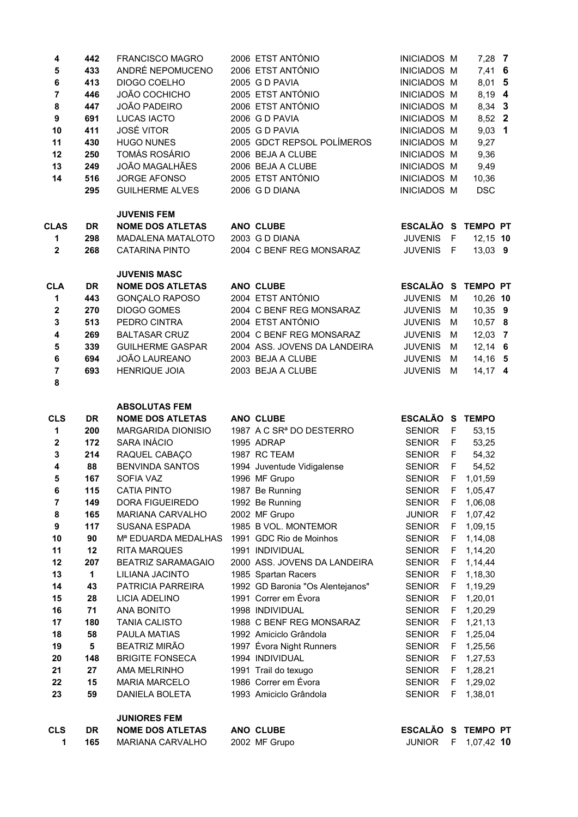| 1                       | 165          | MARIANA CARVALHO                                       | 2002 MF Grupo                         | <b>JUNIOR</b>                            | F      | 1,07,42 10         |  |
|-------------------------|--------------|--------------------------------------------------------|---------------------------------------|------------------------------------------|--------|--------------------|--|
| <b>CLS</b>              | DR           | <b>NOME DOS ATLETAS</b>                                | ANO CLUBE                             | ESCALÃO S TEMPO PT                       |        |                    |  |
|                         |              | <b>JUNIORES FEM</b>                                    |                                       |                                          |        |                    |  |
|                         |              |                                                        |                                       |                                          |        |                    |  |
| 23                      | 59           | DANIELA BOLETA                                         | 1993 Amiciclo Grândola                | <b>SENIOR</b>                            | F      | 1,38,01            |  |
| 22                      | 15           | <b>MARIA MARCELO</b>                                   | 1986 Correr em Évora                  | <b>SENIOR</b>                            | F      | 1,29,02            |  |
| 21                      | 27           | AMA MELRINHO                                           | 1991 Trail do texugo                  | <b>SENIOR</b>                            | F      | 1,28,21            |  |
| 20                      | 148          | <b>BRIGITE FONSECA</b>                                 | 1994 INDIVIDUAL                       | <b>SENIOR</b>                            | F      | 1,27,53            |  |
| 19                      | 5            | <b>BEATRIZ MIRÃO</b>                                   | 1997 Évora Night Runners              | <b>SENIOR</b>                            | F      | 1,25,56            |  |
| 18                      | 58           | PAULA MATIAS                                           | 1992 Amiciclo Grândola                | <b>SENIOR</b>                            | F      | 1,25,04            |  |
| 17                      | 180          | <b>TANIA CALISTO</b>                                   | 1988 C BENF REG MONSARAZ              | <b>SENIOR</b>                            | F      | 1,21,13            |  |
| 16                      | 71           | <b>ANA BONITO</b>                                      | 1998 INDIVIDUAL                       | <b>SENIOR</b>                            | F      | 1,20,29            |  |
| 15                      | 28           | <b>LICIA ADELINO</b>                                   | 1991 Correr em Évora                  | <b>SENIOR</b>                            | F      | 1,20,01            |  |
| 14                      | 43           | PATRICIA PARREIRA                                      | 1992 GD Baronia "Os Alentejanos"      | <b>SENIOR</b>                            | F      | 1,19,29            |  |
| 13                      | $\mathbf{1}$ | LILIANA JACINTO                                        | 1985 Spartan Racers                   | <b>SENIOR</b>                            | F      | 1,18,30            |  |
| 12                      | 207          | <b>BEATRIZ SARAMAGAIO</b>                              | 2000 ASS. JOVENS DA LANDEIRA          | <b>SENIOR</b><br><b>SENIOR</b>           | F      | 1,14,44            |  |
| 10<br>11                | 90<br>12     | M <sup>a</sup> EDUARDA MEDALHAS<br><b>RITA MARQUES</b> | 1991 INDIVIDUAL                       | <b>SENIOR</b>                            | F<br>F | 1,14,08<br>1,14,20 |  |
| 9                       |              | <b>SUSANA ESPADA</b>                                   | 1991 GDC Rio de Moinhos               | <b>SENIOR</b>                            | F      | 1,09,15            |  |
| 8                       | 165<br>117   | MARIANA CARVALHO                                       | 2002 MF Grupo<br>1985 B VOL. MONTEMOR | <b>JUNIOR</b>                            | F      | 1,07,42            |  |
| 7                       | 149          | DORA FIGUEIREDO                                        | 1992 Be Running                       | <b>SENIOR</b>                            | F      | 1,06,08            |  |
| 6                       | 115          | <b>CATIA PINTO</b>                                     | 1987 Be Running                       | <b>SENIOR</b>                            | F      | 1,05,47            |  |
| 5                       | 167          | SOFIA VAZ                                              | 1996 MF Grupo                         | <b>SENIOR</b>                            | F      | 1,01,59            |  |
| $\overline{\mathbf{4}}$ | 88           | <b>BENVINDA SANTOS</b>                                 | 1994 Juventude Vidigalense            | <b>SENIOR</b>                            | F      | 54,52              |  |
| $\mathbf{3}$            | 214          | RAQUEL CABAÇO                                          | 1987 RC TEAM                          | <b>SENIOR</b>                            | F      | 54,32              |  |
| $\bf{2}$                | 172          | SARA INÁCIO                                            | 1995 ADRAP                            | <b>SENIOR</b>                            | F      | 53,25              |  |
| 1                       | 200          | MARGARIDA DIONISIO                                     | 1987 A C SR <sup>ª</sup> DO DESTERRO  | <b>SENIOR</b>                            | - F    | 53,15              |  |
| <b>CLS</b>              | <b>DR</b>    | <b>NOME DOS ATLETAS</b>                                | ANO CLUBE                             | ESCALÃO S                                |        | <b>TEMPO</b>       |  |
|                         |              | <b>ABSOLUTAS FEM</b>                                   |                                       |                                          |        |                    |  |
|                         |              |                                                        |                                       |                                          |        |                    |  |
| 8                       |              |                                                        |                                       |                                          |        |                    |  |
| $\overline{7}$          | 693          | HENRIQUE JOIA                                          | 2003 BEJA A CLUBE                     | <b>JUVENIS</b>                           | M      | $14,17$ 4          |  |
| $\bf 6$                 | 694          | JOÃO LAUREANO                                          | 2003 BEJA A CLUBE                     | <b>JUVENIS</b>                           | M      | $14, 16$ 5         |  |
| ${\bf 5}$               | 339          | <b>GUILHERME GASPAR</b>                                | 2004 ASS. JOVENS DA LANDEIRA          | <b>JUVENIS</b>                           | M      | $12,14$ 6          |  |
| $\overline{\mathbf{4}}$ | 269          | <b>BALTASAR CRUZ</b>                                   | 2004 C BENF REG MONSARAZ              | <b>JUVENIS</b>                           | M      | $12,03$ 7          |  |
| $\mathbf 3$             | 513          | PEDRO CINTRA                                           | 2004 ETST ANTÓNIO                     | <b>JUVENIS</b>                           | м      | 10,57 8            |  |
| $\boldsymbol{2}$        | 270          | <b>DIOGO GOMES</b>                                     | 2004 C BENF REG MONSARAZ              | <b>JUVENIS</b>                           | м      | $10,35$ 9          |  |
| 1                       | 443          | <b>GONÇALO RAPOSO</b>                                  | 2004 ETST ANTÓNIO                     | <b>JUVENIS</b>                           | M      | 10,26 10           |  |
| <b>CLA</b>              | <b>DR</b>    | <b>NOME DOS ATLETAS</b>                                | ANO CLUBE                             | <b>ESCALÃO S</b>                         |        | <b>TEMPO PT</b>    |  |
|                         |              | <b>JUVENIS MASC</b>                                    |                                       |                                          |        |                    |  |
| $\mathbf{2}$            | 268          | <b>CATARINA PINTO</b>                                  | 2004 C BENF REG MONSARAZ              | <b>JUVENIS</b>                           | - F    | $13,03$ 9          |  |
| 1                       | 298          | MADALENA MATALOTO                                      | 2003 G D DIANA                        | <b>JUVENIS</b>                           | $-F$   | $12,15$ 10         |  |
| <b>CLAS</b>             | <b>DR</b>    | <b>NOME DOS ATLETAS</b>                                | ANO CLUBE                             | ESCALÃO S TEMPO PT                       |        |                    |  |
|                         |              | <b>JUVENIS FEM</b>                                     |                                       |                                          |        |                    |  |
|                         |              |                                                        |                                       |                                          |        |                    |  |
|                         | 295          | <b>GUILHERME ALVES</b>                                 | 2006 G D DIANA                        | <b>INICIADOS M</b>                       |        | <b>DSC</b>         |  |
| 14                      | 516          | <b>JORGE AFONSO</b>                                    | 2005 ETST ANTÓNIO                     | <b>INICIADOS M</b>                       |        | 10,36              |  |
| 13                      | 249          | <b>JOÃO MAGALHÃES</b>                                  | 2006 BEJA A CLUBE                     | <b>INICIADOS M</b>                       |        | 9,49               |  |
| 12                      | 250          | <b>TOMÁS ROSÁRIO</b>                                   | 2006 BEJA A CLUBE                     | <b>INICIADOS M</b>                       |        | 9,36               |  |
| 11                      | 430          | <b>HUGO NUNES</b>                                      | 2005 GDCT REPSOL POLÍMEROS            | <b>INICIADOS M</b>                       |        | 9,27               |  |
| $\boldsymbol{9}$<br>10  | 691<br>411   | <b>LUCAS IACTO</b><br><b>JOSÉ VITOR</b>                | 2006 G D PAVIA<br>2005 G D PAVIA      | <b>INICIADOS M</b><br><b>INICIADOS M</b> |        | 8,52 2<br>$9,03$ 1 |  |
| 8                       | 447          | <b>JOÃO PADEIRO</b>                                    | 2006 ETST ANTÓNIO                     | <b>INICIADOS M</b>                       |        | 8,34 3             |  |
| $\overline{7}$          | 446          | JOÃO COCHICHO                                          | 2005 ETST ANTÓNIO                     | <b>INICIADOS M</b>                       |        | 8,19 4             |  |
| $\bf 6$                 | 413          | DIOGO COELHO                                           | 2005 G D PAVIA                        | <b>INICIADOS M</b>                       |        | 8,01 5             |  |
| 5                       | 433          | ANDRÉ NEPOMUCENO                                       | 2006 ETST ANTÓNIO                     | <b>INICIADOS M</b>                       |        | $7,41$ 6           |  |
| 4                       | 442          | <b>FRANCISCO MAGRO</b>                                 | 2006 ETST ANTÓNIO                     | <b>INICIADOS M</b>                       |        | $7,28$ 7           |  |
|                         |              |                                                        |                                       |                                          |        |                    |  |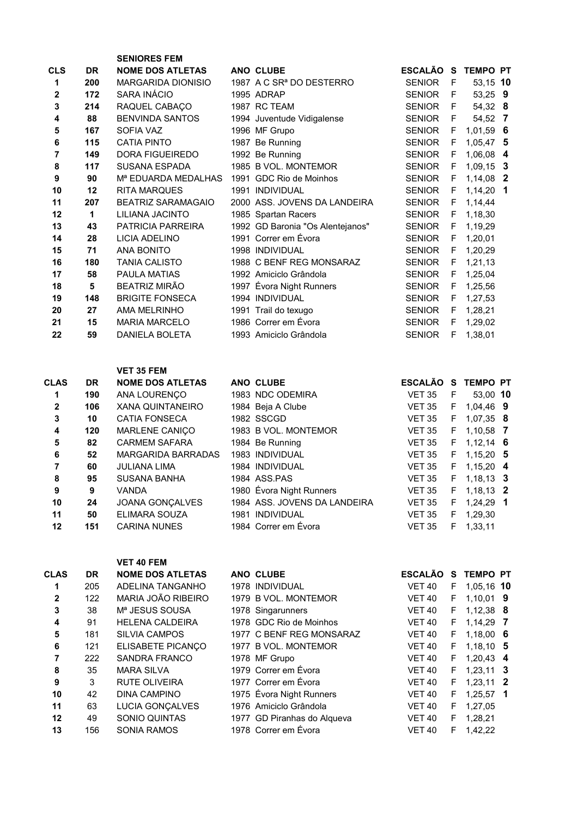|              |           | <b>SENIORES FEM</b>             |                                      |                |          |                 |                         |
|--------------|-----------|---------------------------------|--------------------------------------|----------------|----------|-----------------|-------------------------|
| <b>CLS</b>   | <b>DR</b> | <b>NOME DOS ATLETAS</b>         | <b>ANO CLUBE</b>                     | <b>ESCALÃO</b> | <b>S</b> | <b>TEMPO PT</b> |                         |
| 1            | 200       | <b>MARGARIDA DIONISIO</b>       | 1987 A C SR <sup>a</sup> DO DESTERRO | <b>SENIOR</b>  | F        | 53,15 10        |                         |
| $\mathbf{2}$ | 172       | SARA INÁCIO                     | 1995 ADRAP                           | <b>SENIOR</b>  | F        | 53,25 9         |                         |
| 3            | 214       | RAQUEL CABAÇO                   | 1987 RC TEAM                         | <b>SENIOR</b>  | F        | 54,32 8         |                         |
| 4            | 88        | <b>BENVINDA SANTOS</b>          | 1994 Juventude Vidigalense           | <b>SENIOR</b>  | F        | 54,52 7         |                         |
| 5            | 167       | SOFIA VAZ                       | 1996 MF Grupo                        | <b>SENIOR</b>  | F        | $1,01,59$ 6     |                         |
| 6            | 115       | <b>CATIA PINTO</b>              | 1987 Be Running                      | <b>SENIOR</b>  | F        | $1,05,47$ 5     |                         |
| 7            | 149       | <b>DORA FIGUEIREDO</b>          | 1992 Be Running                      | <b>SENIOR</b>  | F        | 1,06,08         | -4                      |
| 8            | 117       | <b>SUSANA ESPADA</b>            | 1985 B VOL. MONTEMOR                 | <b>SENIOR</b>  | F        | $1,09,15$ 3     |                         |
| 9            | 90        | M <sup>a</sup> EDUARDA MEDALHAS | 1991 GDC Rio de Moinhos              | <b>SENIOR</b>  | F        | 1,14,08         | $\overline{\mathbf{2}}$ |
| 10           | 12        | <b>RITA MARQUES</b>             | 1991 INDIVIDUAL                      | <b>SENIOR</b>  | F        | 1,14,20         | - 1                     |
| 11           | 207       | <b>BEATRIZ SARAMAGAIO</b>       | 2000 ASS, JOVENS DA LANDEIRA         | <b>SENIOR</b>  | F        | 1,14,44         |                         |
| 12           | 1         | LILIANA JACINTO                 | 1985 Spartan Racers                  | <b>SENIOR</b>  | F        | 1,18,30         |                         |
| 13           | 43        | PATRICIA PARREIRA               | 1992 GD Baronia "Os Alentejanos"     | <b>SENIOR</b>  | F        | 1,19,29         |                         |
| 14           | 28        | LICIA ADELINO                   | 1991 Correr em Évora                 | <b>SENIOR</b>  | F        | 1,20,01         |                         |
| 15           | 71        | <b>ANA BONITO</b>               | 1998 INDIVIDUAL                      | <b>SENIOR</b>  | F        | 1,20,29         |                         |
| 16           | 180       | <b>TANIA CALISTO</b>            | 1988 C BENF REG MONSARAZ             | <b>SENIOR</b>  | F        | 1,21,13         |                         |
| 17           | 58        | <b>PAULA MATIAS</b>             | 1992 Amiciclo Grândola               | <b>SENIOR</b>  | F        | 1,25,04         |                         |
| 18           | 5         | <b>BEATRIZ MIRÃO</b>            | 1997 Évora Night Runners             | <b>SENIOR</b>  | F        | 1,25,56         |                         |
| 19           | 148       | <b>BRIGITE FONSECA</b>          | 1994 INDIVIDUAL                      | <b>SENIOR</b>  | F        | 1,27,53         |                         |
| 20           | 27        | AMA MELRINHO                    | 1991 Trail do texugo                 | <b>SENIOR</b>  | F        | 1,28,21         |                         |
| 21           | 15        | <b>MARIA MARCELO</b>            | 1986 Correr em Évora                 | <b>SENIOR</b>  | F        | 1,29,02         |                         |
| 22           | 59        | <b>DANIELA BOLETA</b>           | 1993 Amiciclo Grândola               | <b>SENIOR</b>  | F        | 1,38,01         |                         |

## VET 35 FEM

VET 40 FEM

| <b>CLAS</b>  | <b>DR</b> | <b>NOME DOS ATLETAS</b> | ANO CLUBE                    | <b>ESCALÃO</b> | S  | <b>TEMPO PT</b> |
|--------------|-----------|-------------------------|------------------------------|----------------|----|-----------------|
|              | 190       | ANA LOURENÇO            | 1983 NDC ODEMIRA             | <b>VET 35</b>  | F  | 53.00 10        |
| $\mathbf{2}$ | 106       | <b>XANA QUINTANEIRO</b> | 1984 Beja A Clube            | <b>VET 35</b>  | F. | 1,04,46 9       |
| 3            | 10        | <b>CATIA FONSECA</b>    | 1982 SSCGD                   | <b>VET 35</b>  | F. | 1.07.35 8       |
| 4            | 120       | MARLENE CANIÇO          | 1983 B VOL. MONTEMOR         | <b>VET 35</b>  | F. | $1,10,58$ 7     |
| 5            | 82        | <b>CARMEM SAFARA</b>    | 1984 Be Running              | <b>VET 35</b>  | F. | $1,12,14$ 6     |
| 6            | 52        | MARGARIDA BARRADAS      | 1983 INDIVIDUAL              | <b>VET 35</b>  | F. | $1,15,20$ 5     |
|              | 60        | <b>JULIANA LIMA</b>     | 1984 INDIVIDUAL              | <b>VET 35</b>  |    | $F$ 1,15,20 4   |
| 8            | 95        | <b>SUSANA BANHA</b>     | 1984 ASS.PAS                 | <b>VET 35</b>  | F  | $1,18,13$ 3     |
| 9            | 9         | <b>VANDA</b>            | 1980 Évora Night Runners     | <b>VET 35</b>  | F  | $1,18,13$ 2     |
| 10           | 24        | JOANA GONÇALVES         | 1984 ASS, JOVENS DA LANDEIRA | <b>VET 35</b>  | F  | $1,24,29$ 1     |
| 11           | 50        | ELIMARA SOUZA           | 1981 INDIVIDUAL              | <b>VET 35</b>  | F  | 1,29,30         |
| 12           | 151       | <b>CARINA NUNES</b>     | 1984 Correr em Évora         | <b>VET 35</b>  | F  | 1.33.11         |

CLAS DR NOME DOS ATLETAS ANO CLUBE TEMPO PT ESCALÃO S TEMPO PT 1 205 ADELINA TANGANHO 1978 INDIVIDUAL VET 40 F 1,05,16 10 2 122 MARIA JOÃO RIBEIRO 1979 B VOL. MONTEMOR VET 40 F 1,10,01 9 3 38 Mª JESUS SOUSA 1978 Singarunners VET 40 F 1,12,38 8 4 91 HELENA CALDEIRA 1978 GDC Rio de Moinhos VET 40 F 1,14,29 7 5 181 SILVIA CAMPOS 1977 C BENF REG MONSARAZ VET 40 F 1,18,00 6 6 121 ELISABETE PICANÇO 1977 B VOL. MONTEMOR VET 40 F 1,18,10 5 7 222 SANDRA FRANCO 1978 MF Grupo 1978 VET 40 8 35 MARA SILVA 1979 Correr em Évora VET 40 F 1,23,11 3 9 3 RUTE OLIVEIRA 1977 Correr em Évora VET 40 F 1,23,11 2 10 42 DINA CAMPINO 1975 Évora Night Runners VET 40 F 1,25,57 1 11 63 LUCIA GONÇALVES 1976 Amiciclo Grândola VET 40 F 1,27,05 12 49 SONIO QUINTAS 1977 GD Piranhas do Alqueva VET 40 F 1,28,21 13 156 SONIA RAMOS 1978 Correr em Évora 1978 VET 40 F 1,42,22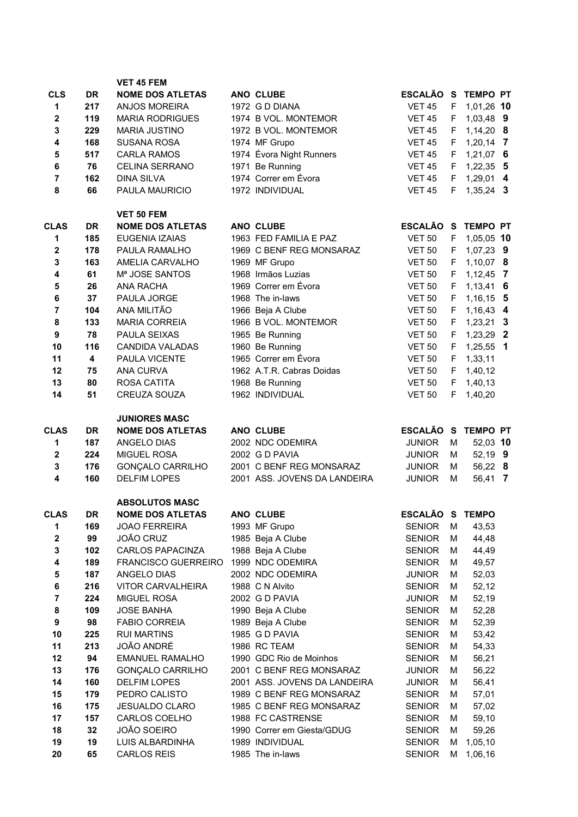|                  |           | <b>VET 45 FEM</b>                            |                                |                                |        |                 |                |
|------------------|-----------|----------------------------------------------|--------------------------------|--------------------------------|--------|-----------------|----------------|
| <b>CLS</b>       | <b>DR</b> | <b>NOME DOS ATLETAS</b>                      | ANO CLUBE                      | ESCALÃO S TEMPO PT             |        |                 |                |
| 1                | 217       | <b>ANJOS MOREIRA</b>                         | 1972 G D DIANA                 | <b>VET 45</b>                  | F      | 1,01,26 10      |                |
| 2                | 119       | <b>MARIA RODRIGUES</b>                       | 1974 B VOL. MONTEMOR           | <b>VET 45</b>                  | F.     | 1,03,48 9       |                |
| 3                | 229       | <b>MARIA JUSTINO</b>                         | 1972 B VOL. MONTEMOR           | <b>VET 45</b>                  | F.     | $1,14,20$ 8     |                |
| 4                | 168       | <b>SUSANA ROSA</b>                           | 1974 MF Grupo                  | <b>VET 45</b>                  | F.     | $1,20,14$ 7     |                |
| 5                | 517       | <b>CARLA RAMOS</b>                           | 1974 Évora Night Runners       | <b>VET 45</b>                  | F.     | $1,21,07$ 6     |                |
| $\bf 6$          | 76        | <b>CELINA SERRANO</b>                        | 1971 Be Running                | <b>VET 45</b>                  | F.     | $1,22,35$ 5     |                |
| $\overline{7}$   | 162       | <b>DINA SILVA</b>                            | 1974 Correr em Évora           | <b>VET 45</b>                  | F.     | 1,29,01 4       |                |
| 8                | 66        | PAULA MAURICIO                               | 1972 INDIVIDUAL                | <b>VET 45</b>                  | F.     | $1,35,24$ 3     |                |
|                  |           |                                              |                                |                                |        |                 |                |
| <b>CLAS</b>      | <b>DR</b> | <b>VET 50 FEM</b><br><b>NOME DOS ATLETAS</b> | ANO CLUBE                      | ESCALÃO S                      |        | <b>TEMPO PT</b> |                |
| 1                | 185       | EUGENIA IZAIAS                               | 1963 FED FAMILIA E PAZ         | <b>VET 50</b>                  | F.     | 1,05,05 10      |                |
| $\mathbf{2}$     | 178       | PAULA RAMALHO                                | 1969 C BENF REG MONSARAZ       | <b>VET 50</b>                  | F.     | 1,07,23 9       |                |
| 3                | 163       | AMELIA CARVALHO                              | 1969 MF Grupo                  | <b>VET 50</b>                  | F.     | $1,10,07$ 8     |                |
| 4                | 61        | Mª JOSE SANTOS                               | 1968 Irmãos Luzias             | <b>VET 50</b>                  | F.     | 1,12,45         | $\overline{7}$ |
| 5                | 26        | <b>ANA RACHA</b>                             | 1969 Correr em Évora           | <b>VET 50</b>                  | F.     | $1,13,41$ 6     |                |
| $\bf 6$          | 37        | PAULA JORGE                                  | 1968 The in-laws               | <b>VET 50</b>                  | F.     | $1,16,15$ 5     |                |
| $\overline{7}$   | 104       | ANA MILITÃO                                  | 1966 Beja A Clube              | <b>VET 50</b>                  | F.     | 1,16,43 4       |                |
| 8                | 133       | <b>MARIA CORREIA</b>                         | 1966 B VOL. MONTEMOR           | <b>VET 50</b>                  | F.     | $1,23,21$ 3     |                |
| $\boldsymbol{9}$ | 78        | PAULA SEIXAS                                 | 1965 Be Running                | <b>VET 50</b>                  | F.     | 1,23,29 2       |                |
| 10               | 116       | <b>CANDIDA VALADAS</b>                       | 1960 Be Running                | <b>VET 50</b>                  | F.     | $1,25,55$ 1     |                |
| 11               | 4         | PAULA VICENTE                                | 1965 Correr em Évora           | <b>VET 50</b>                  | F.     | 1,33,11         |                |
| 12               | 75        | <b>ANA CURVA</b>                             | 1962 A.T.R. Cabras Doidas      | <b>VET 50</b>                  | F.     | 1,40,12         |                |
| 13               | 80        | ROSA CATITA                                  | 1968 Be Running                | <b>VET 50</b>                  | F.     | 1,40,13         |                |
| 14               | 51        | CREUZA SOUZA                                 | 1962 INDIVIDUAL                | <b>VET 50</b>                  | F      | 1,40,20         |                |
|                  |           |                                              |                                |                                |        |                 |                |
|                  |           | <b>JUNIORES MASC</b>                         |                                |                                |        |                 |                |
| <b>CLAS</b>      | <b>DR</b> | <b>NOME DOS ATLETAS</b>                      | ANO CLUBE                      | <b>ESCALÃO S</b>               |        | <b>TEMPO PT</b> |                |
| 1                | 187       | ANGELO DIAS                                  | 2002 NDC ODEMIRA               | <b>JUNIOR</b>                  | М      | 52,03 10        |                |
|                  |           |                                              |                                |                                |        |                 |                |
| $\mathbf{2}$     | 224       | <b>MIGUEL ROSA</b>                           | 2002 G D PAVIA                 | <b>JUNIOR</b>                  | м      | 52,19 9         |                |
| 3                | 176       | <b>GONÇALO CARRILHO</b>                      | 2001 C BENF REG MONSARAZ       | <b>JUNIOR</b>                  | м      | 56,22 8         |                |
| 4                | 160       | <b>DELFIM LOPES</b>                          | 2001 ASS. JOVENS DA LANDEIRA   | <b>JUNIOR</b>                  | М      | 56,41 7         |                |
|                  |           |                                              |                                |                                |        |                 |                |
|                  |           | <b>ABSOLUTOS MASC</b>                        |                                |                                |        |                 |                |
| <b>CLAS</b>      | <b>DR</b> | <b>NOME DOS ATLETAS</b>                      | ANO CLUBE                      | ESCALÃO S TEMPO                |        |                 |                |
| 1                | 169       | <b>JOAO FERREIRA</b>                         | 1993 MF Grupo                  | <b>SENIOR</b>                  | M      | 43,53           |                |
| 2                | 99        | JOÃO CRUZ                                    | 1985 Beja A Clube              | <b>SENIOR</b>                  | м      | 44,48           |                |
| 3                | 102       | <b>CARLOS PAPACINZA</b>                      | 1988 Beja A Clube              | <b>SENIOR</b>                  | м      | 44,49           |                |
| 4                | 189       | FRANCISCO GUERREIRO                          | 1999 NDC ODEMIRA               | <b>SENIOR</b>                  | м      | 49,57           |                |
| 5                | 187       | ANGELO DIAS                                  | 2002 NDC ODEMIRA               | <b>JUNIOR</b>                  | М      | 52,03           |                |
| 6                | 216       | VITOR CARVALHEIRA                            | 1988 C N Alvito                | <b>SENIOR</b>                  | М      | 52,12           |                |
| 7                | 224       | MIGUEL ROSA                                  | 2002 G D PAVIA                 | <b>JUNIOR</b>                  | М      | 52,19           |                |
| 8                | 109       | <b>JOSE BANHA</b>                            | 1990 Beja A Clube              | <b>SENIOR</b>                  | М<br>М | 52,28           |                |
| 9                | 98        | <b>FABIO CORREIA</b><br><b>RUI MARTINS</b>   | 1989 Beja A Clube              | <b>SENIOR</b>                  | М      | 52,39           |                |
| 10               | 225       | JOÃO ANDRÉ                                   | 1985 G D PAVIA<br>1986 RC TEAM | <b>SENIOR</b>                  | М      | 53,42           |                |
| 11               | 213<br>94 | <b>EMANUEL RAMALHO</b>                       | 1990 GDC Rio de Moinhos        | <b>SENIOR</b>                  | М      | 54,33           |                |
| 12<br>13         | 176       | GONÇALO CARRILHO                             | 2001 C BENF REG MONSARAZ       | <b>SENIOR</b><br><b>JUNIOR</b> | М      | 56,21<br>56,22  |                |
| 14               | 160       | <b>DELFIM LOPES</b>                          | 2001 ASS. JOVENS DA LANDEIRA   | <b>JUNIOR</b>                  | М      | 56,41           |                |
| 15               | 179       | PEDRO CALISTO                                | 1989 C BENF REG MONSARAZ       | <b>SENIOR</b>                  | м      | 57,01           |                |
| 16               | 175       | <b>JESUALDO CLARO</b>                        | 1985 C BENF REG MONSARAZ       | <b>SENIOR</b>                  | м      | 57,02           |                |
| 17               | 157       | CARLOS COELHO                                | 1988 FC CASTRENSE              | <b>SENIOR</b>                  | М      | 59,10           |                |
| 18               | 32        | JOÃO SOEIRO                                  | 1990 Correr em Giesta/GDUG     | <b>SENIOR</b>                  | М      | 59,26           |                |
| 19               | 19        | LUIS ALBARDINHA                              | 1989 INDIVIDUAL                | <b>SENIOR</b>                  | м      | 1,05,10         |                |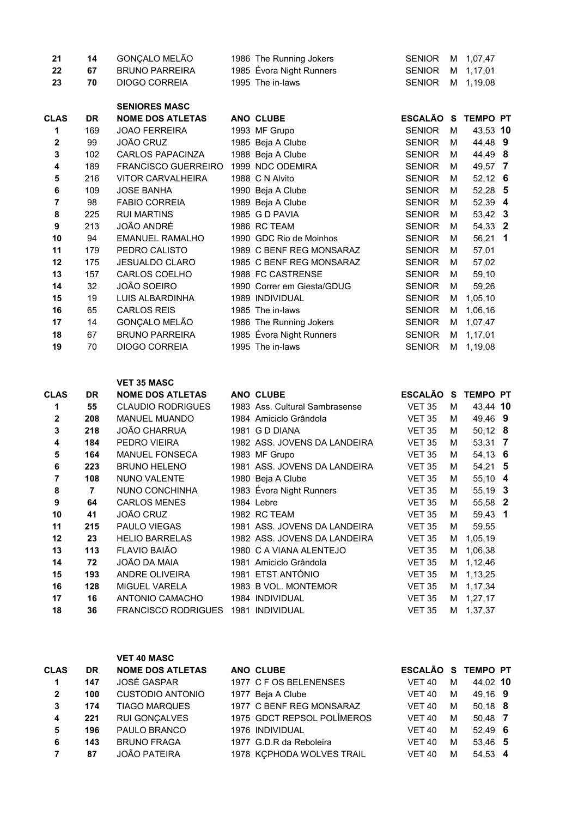| 21          | 14        | GONÇALO MELÃO              | 1986 The Running Jokers    | <b>SENIOR</b> | м | 1,07,47         |                         |
|-------------|-----------|----------------------------|----------------------------|---------------|---|-----------------|-------------------------|
| 22          | 67        | <b>BRUNO PARREIRA</b>      | 1985 Évora Night Runners   | <b>SENIOR</b> | м | 1,17,01         |                         |
| 23          | 70        | <b>DIOGO CORREIA</b>       | 1995 The in-laws           | <b>SENIOR</b> | м | 1,19,08         |                         |
|             |           | <b>SENIORES MASC</b>       |                            |               |   |                 |                         |
| <b>CLAS</b> | <b>DR</b> | <b>NOME DOS ATLETAS</b>    | ANO CLUBE                  | ESCALÃO S     |   | <b>TEMPO PT</b> |                         |
| 1           | 169       | <b>JOAO FERREIRA</b>       | 1993 MF Grupo              | <b>SENIOR</b> | м | 43,53 10        |                         |
| 2           | 99        | JOÃO CRUZ                  | 1985 Beja A Clube          | <b>SENIOR</b> | м | 44,48 9         |                         |
| 3           | 102       | <b>CARLOS PAPACINZA</b>    | 1988 Beja A Clube          | <b>SENIOR</b> | м | 44,49 8         |                         |
| 4           | 189       | <b>FRANCISCO GUERREIRO</b> | 1999 NDC ODEMIRA           | <b>SENIOR</b> | м | 49,57           | $\overline{7}$          |
| 5           | 216       | VITOR CARVALHEIRA          | 1988 C N Alvito            | <b>SENIOR</b> | м | $52,12$ 6       |                         |
| 6           | 109       | <b>JOSE BANHA</b>          | 1990 Beja A Clube          | <b>SENIOR</b> | М | 52,28 5         |                         |
| 7           | 98        | <b>FABIO CORREIA</b>       | 1989 Beja A Clube          | <b>SENIOR</b> | м | 52,39 4         |                         |
| 8           | 225       | <b>RUI MARTINS</b>         | 1985 G D PAVIA             | <b>SENIOR</b> | м | 53,42 3         |                         |
| 9           | 213       | JOÃO ANDRÉ                 | 1986 RC TEAM               | <b>SENIOR</b> | м | 54,33 2         |                         |
| 10          | 94        | <b>EMANUEL RAMALHO</b>     | 1990 GDC Rio de Moinhos    | <b>SENIOR</b> | М | 56,21           | $\overline{\mathbf{1}}$ |
| 11          | 179       | PEDRO CALISTO              | 1989 C BENF REG MONSARAZ   | <b>SENIOR</b> | м | 57,01           |                         |
| 12          | 175       | <b>JESUALDO CLARO</b>      | 1985 C BENF REG MONSARAZ   | <b>SENIOR</b> | м | 57,02           |                         |
| 13          | 157       | CARLOS COELHO              | 1988 FC CASTRENSE          | <b>SENIOR</b> | м | 59,10           |                         |
| 14          | 32        | JOÃO SOEIRO                | 1990 Correr em Giesta/GDUG | <b>SENIOR</b> | М | 59,26           |                         |
| 15          | 19        | LUIS ALBARDINHA            | 1989 INDIVIDUAL            | <b>SENIOR</b> | м | 1,05,10         |                         |
| 16          | 65        | <b>CARLOS REIS</b>         | 1985 The in-laws           | <b>SENIOR</b> | м | 1,06,16         |                         |
| 17          | 14        | GONÇALO MELÃO              | 1986 The Running Jokers    | <b>SENIOR</b> | м | 1,07,47         |                         |
| 18          | 67        | <b>BRUNO PARREIRA</b>      | 1985 Évora Night Runners   | <b>SENIOR</b> | м | 1,17,01         |                         |
| 19          | 70        | <b>DIOGO CORREIA</b>       | 1995 The in-laws           | <b>SENIOR</b> | м | 1,19,08         |                         |

## VET 35 MASC

| <b>CLAS</b> | <b>DR</b> | <b>NOME DOS ATLETAS</b>    | ANO CLUBE                      | <b>ESCALÃO</b> | <b>S</b> | <b>TEMPO PT</b> |  |
|-------------|-----------|----------------------------|--------------------------------|----------------|----------|-----------------|--|
| 1           | 55        | <b>CLAUDIO RODRIGUES</b>   | 1983 Ass. Cultural Sambrasense | <b>VET 35</b>  | м        | 43.44 10        |  |
| 2           | 208       | <b>MANUEL MUANDO</b>       | 1984 Amiciclo Grândola         | <b>VET 35</b>  | м        | 49,46 9         |  |
| 3           | 218       | <b>JOÃO CHARRUA</b>        | 1981 G D DIANA                 | <b>VET 35</b>  | м        | $50,12$ 8       |  |
| 4           | 184       | PEDRO VIEIRA               | 1982 ASS, JOVENS DA LANDEIRA   | <b>VET 35</b>  | м        | 53,31 7         |  |
| 5           | 164       | <b>MANUEL FONSECA</b>      | 1983 MF Grupo                  | <b>VET 35</b>  | м        | 54,13 6         |  |
| 6           | 223       | <b>BRUNO HELENO</b>        | 1981 ASS, JOVENS DA LANDEIRA   | <b>VET 35</b>  | м        | $54,21$ 5       |  |
| 7           | 108       | <b>NUNO VALENTE</b>        | 1980 Beja A Clube              | <b>VET 35</b>  | м        | 55,10 4         |  |
| 8           | 7         | NUNO CONCHINHA             | 1983 Évora Night Runners       | <b>VET 35</b>  | М        | 55,19 3         |  |
| 9           | 64        | <b>CARLOS MENES</b>        | 1984 Lebre                     | <b>VET 35</b>  | м        | 55,58 2         |  |
| 10          | 41        | <b>JOÃO CRUZ</b>           | 1982 RC TEAM                   | <b>VET 35</b>  | м        | $59,43$ 1       |  |
| 11          | 215       | <b>PAULO VIEGAS</b>        | 1981 ASS, JOVENS DA LANDEIRA   | <b>VET 35</b>  | М        | 59,55           |  |
| 12          | 23        | <b>HELIO BARRELAS</b>      | 1982 ASS, JOVENS DA LANDEIRA   | <b>VET 35</b>  | м        | 1,05,19         |  |
| 13          | 113       | FLAVIO BAIÃO               | 1980 C A VIANA ALENTEJO        | <b>VET 35</b>  | м        | 1,06,38         |  |
| 14          | 72        | JOÃO DA MAIA               | 1981 Amiciclo Grândola         | <b>VET 35</b>  | M        | 1,12,46         |  |
| 15          | 193       | ANDRE OLIVEIRA             | 1981 ETST ANTÓNIO              | <b>VET 35</b>  | м        | 1,13,25         |  |
| 16          | 128       | <b>MIGUEL VARELA</b>       | 1983 B VOL. MONTEMOR           | <b>VET 35</b>  | м        | 1,17,34         |  |
| 17          | 16        | ANTONIO CAMACHO            | 1984 INDIVIDUAL                | <b>VET 35</b>  | м        | 1,27,17         |  |
| 18          | 36        | <b>FRANCISCO RODRIGUES</b> | 1981 INDIVIDUAL                | <b>VET 35</b>  | м        | 1,37,37         |  |

## VET 40 MASC

| <b>CLAS</b> | <b>DR</b> | <b>NOME DOS ATLETAS</b> | ANO CLUBE                  |               |   | ESCALÃO S TEMPO PT |
|-------------|-----------|-------------------------|----------------------------|---------------|---|--------------------|
| 1           | 147       | JOSÉ GASPAR             | 1977 C F OS BELENENSES     | <b>VET 40</b> | м | 44,02 10           |
| 2           | 100       | <b>CUSTODIO ANTONIO</b> | 1977 Beja A Clube          | <b>VET 40</b> | м | 49.16 9            |
| 3           | 174       | <b>TIAGO MARQUES</b>    | 1977 C BENF REG MONSARAZ   | <b>VET 40</b> | м | $50.18$ 8          |
| 4           | 221       | RUI GONÇALVES           | 1975 GDCT REPSOL POLÍMEROS | <b>VET 40</b> | м | 50,48 7            |
| 5           | 196       | PAULO BRANCO            | 1976 INDIVIDUAL            | <b>VET 40</b> | м | $52.49$ 6          |
| 6           | 143       | <b>BRUNO FRAGA</b>      | 1977 G.D.R da Reboleira    | <b>VET 40</b> | м | 53.46 5            |
|             | 87        | <b>JOÃO PATEIRA</b>     | 1978 KÇPHODA WOLVES TRAIL  | <b>VET 40</b> | м | 54.53 4            |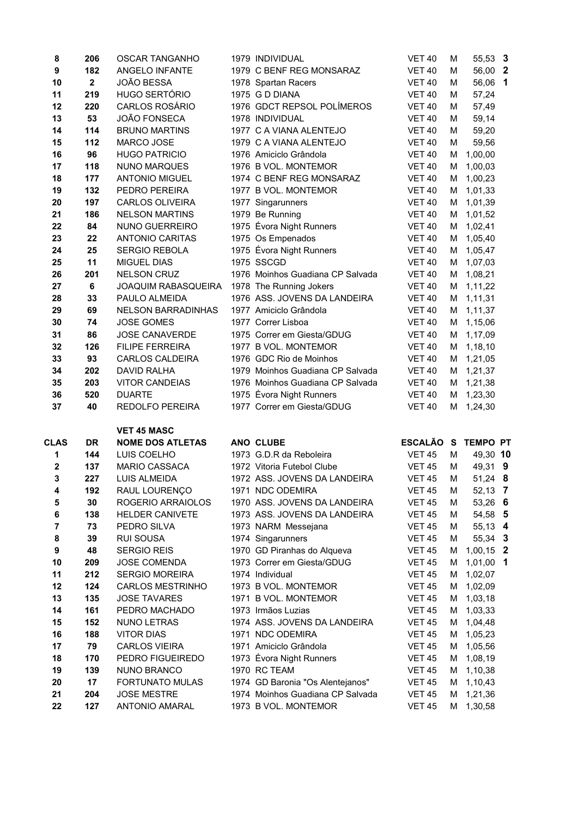| 8                | 206                     | <b>OSCAR TANGANHO</b>                | 1979 INDIVIDUAL                                          | <b>VET 40</b>                  | М      | 55,53 3            |  |
|------------------|-------------------------|--------------------------------------|----------------------------------------------------------|--------------------------------|--------|--------------------|--|
| $\boldsymbol{9}$ | 182                     | ANGELO INFANTE                       | 1979 C BENF REG MONSARAZ                                 | <b>VET 40</b>                  | м      | 56,00 2            |  |
| 10               | $\overline{\mathbf{2}}$ | JOÃO BESSA                           | 1978 Spartan Racers                                      | <b>VET 40</b>                  | М      | 56,06 1            |  |
| 11               | 219                     | HUGO SERTÓRIO                        | 1975 G D DIANA                                           | <b>VET 40</b>                  | M      | 57,24              |  |
| 12               | 220                     | <b>CARLOS ROSÁRIO</b>                | 1976 GDCT REPSOL POLÍMEROS                               | <b>VET 40</b>                  | м      | 57,49              |  |
| 13               | 53                      | <b>JOÃO FONSECA</b>                  | 1978 INDIVIDUAL                                          | <b>VET 40</b>                  | м      | 59,14              |  |
| 14               | 114                     | <b>BRUNO MARTINS</b>                 | 1977 C A VIANA ALENTEJO                                  | <b>VET 40</b>                  | м      | 59,20              |  |
| 15               | 112                     | MARCO JOSE                           | 1979 C A VIANA ALENTEJO                                  | <b>VET 40</b>                  | м      | 59,56              |  |
| 16               | 96                      | <b>HUGO PATRICIO</b>                 | 1976 Amiciclo Grândola                                   | <b>VET 40</b>                  | М      | 1,00,00            |  |
| 17               | 118                     | <b>NUNO MARQUES</b>                  | 1976 B VOL. MONTEMOR                                     | <b>VET 40</b>                  | М      | 1,00,03            |  |
| 18               | 177                     | <b>ANTONIO MIGUEL</b>                | 1974 C BENF REG MONSARAZ                                 | <b>VET 40</b>                  | М      | 1,00,23            |  |
| 19               | 132                     | PEDRO PEREIRA                        | 1977 B VOL. MONTEMOR                                     | <b>VET 40</b>                  | М      | 1,01,33            |  |
| 20               | 197                     | <b>CARLOS OLIVEIRA</b>               | 1977 Singarunners                                        | <b>VET 40</b>                  | м      | 1,01,39            |  |
| 21               | 186                     | <b>NELSON MARTINS</b>                | 1979 Be Running                                          | <b>VET 40</b>                  | м      | 1,01,52            |  |
| 22               | 84                      | NUNO GUERREIRO                       | 1975 Évora Night Runners                                 | <b>VET 40</b>                  | м      | 1,02,41            |  |
| 23               | 22                      | <b>ANTONIO CARITAS</b>               | 1975 Os Empenados                                        | <b>VET 40</b>                  | м      | 1,05,40            |  |
| 24               | 25                      | <b>SERGIO REBOLA</b>                 | 1975 Évora Night Runners                                 | <b>VET 40</b>                  | м      | 1,05,47            |  |
| 25               | 11                      | <b>MIGUEL DIAS</b>                   | 1975 SSCGD                                               | <b>VET 40</b>                  | М      | 1,07,03            |  |
| 26               | 201                     | NELSON CRUZ                          | 1976 Moinhos Guadiana CP Salvada                         | <b>VET 40</b>                  | м      | 1,08,21            |  |
| 27               | 6                       | JOAQUIM RABASQUEIRA                  | 1978 The Running Jokers                                  | <b>VET 40</b>                  | м      | 1,11,22            |  |
| 28               | 33                      | PAULO ALMEIDA                        | 1976 ASS. JOVENS DA LANDEIRA                             | <b>VET 40</b>                  | М      | 1,11,31            |  |
| 29               | 69                      | <b>NELSON BARRADINHAS</b>            | 1977 Amiciclo Grândola                                   | <b>VET 40</b>                  | м      | 1,11,37            |  |
| 30               | 74                      | <b>JOSE GOMES</b>                    | 1977 Correr Lisboa                                       | <b>VET 40</b>                  | М      | 1,15,06            |  |
| 31               | 86                      | <b>JOSE CANAVERDE</b>                | 1975 Correr em Giesta/GDUG                               | <b>VET 40</b>                  | М      | 1,17,09            |  |
| 32               | 126                     | <b>FILIPE FERREIRA</b>               | 1977 B VOL. MONTEMOR                                     | <b>VET 40</b>                  | М      | 1,18,10            |  |
| 33               | 93                      | <b>CARLOS CALDEIRA</b>               | 1976 GDC Rio de Moinhos                                  | <b>VET 40</b>                  | м      | 1,21,05            |  |
| 34               | 202                     | <b>DAVID RALHA</b>                   | 1979 Moinhos Guadiana CP Salvada                         | <b>VET 40</b>                  | М      | 1,21,37            |  |
| 35               | 203                     | <b>VITOR CANDEIAS</b>                | 1976 Moinhos Guadiana CP Salvada                         | <b>VET 40</b>                  | м      | 1,21,38            |  |
| 36               | 520                     | <b>DUARTE</b>                        | 1975 Évora Night Runners                                 | <b>VET 40</b>                  | М      | 1,23,30            |  |
| 37               | 40                      | REDOLFO PEREIRA                      | 1977 Correr em Giesta/GDUG                               | <b>VET 40</b>                  | м      | 1,24,30            |  |
|                  |                         | <b>VET 45 MASC</b>                   |                                                          |                                |        |                    |  |
| <b>CLAS</b>      | <b>DR</b>               | <b>NOME DOS ATLETAS</b>              | ANO CLUBE                                                | ESCALÃO S TEMPO PT             |        |                    |  |
| 1                | 144                     | LUIS COELHO                          | 1973 G.D.R da Reboleira                                  | <b>VET 45</b>                  | м      | 49,30 10           |  |
| $\bf{2}$         | 137                     | MARIO CASSACA                        | 1972 Vitoria Futebol Clube                               | <b>VET 45</b>                  | м      | 49,31 9            |  |
| 3                | 227                     | <b>LUIS ALMEIDA</b>                  | 1972 ASS. JOVENS DA LANDEIRA                             | <b>VET 45</b>                  | М      | 51,24 8            |  |
| 4                | 192                     | RAUL LOURENÇO                        | 1971 NDC ODEMIRA                                         | <b>VET 45</b>                  | M      | 52,13 7            |  |
| 5                | 30                      | ROGERIO ARRAIOLOS                    | 1970 ASS. JOVENS DA LANDEIRA                             | <b>VET 45</b>                  | М      | 53,26 6            |  |
| 6                | 138                     | HELDER CANIVETE                      | 1973 ASS. JOVENS DA LANDEIRA                             | <b>VET 45</b>                  | М      | 54,58 5            |  |
| 7                | 73                      | PEDRO SILVA                          | 1973 NARM Messejana                                      | <b>VET 45</b>                  | М      | 55,13 4            |  |
| 8                | 39                      | <b>RUI SOUSA</b>                     | 1974 Singarunners                                        | <b>VET 45</b>                  | м      | 55,34 3            |  |
| $\boldsymbol{9}$ | 48                      | <b>SERGIO REIS</b>                   | 1970 GD Piranhas do Alqueva                              | <b>VET 45</b>                  | м      | $1,00,15$ 2        |  |
| 10               | 209                     | <b>JOSE COMENDA</b>                  | 1973 Correr em Giesta/GDUG                               | <b>VET 45</b>                  | м      | $1,01,00$ 1        |  |
| 11               | 212                     | <b>SERGIO MOREIRA</b>                | 1974 Individual                                          | <b>VET 45</b>                  | м      | 1,02,07            |  |
| 12               | 124                     | <b>CARLOS MESTRINHO</b>              | 1973 B VOL. MONTEMOR                                     | <b>VET 45</b>                  | м      | 1,02,09            |  |
| 13               | 135                     | <b>JOSE TAVARES</b>                  | 1971 B VOL. MONTEMOR                                     | <b>VET 45</b>                  | м      | 1,03,18            |  |
| 14               | 161                     | PEDRO MACHADO                        | 1973 Irmãos Luzias                                       | <b>VET 45</b>                  | м      | 1,03,33            |  |
| 15<br>16         | 152                     | NUNO LETRAS                          | 1974 ASS. JOVENS DA LANDEIRA                             | <b>VET 45</b>                  | м      | 1,04,48            |  |
|                  | 188<br>79               | <b>VITOR DIAS</b>                    | 1971 NDC ODEMIRA                                         | <b>VET 45</b>                  | м      | 1,05,23            |  |
| 17<br>18         | 170                     | <b>CARLOS VIEIRA</b>                 | 1971 Amiciclo Grândola<br>1973 Évora Night Runners       | <b>VET 45</b>                  | м      | 1,05,56            |  |
| 19               | 139                     | PEDRO FIGUEIREDO<br>NUNO BRANCO      | 1970 RC TEAM                                             | <b>VET 45</b><br><b>VET 45</b> | м<br>М | 1,08,19<br>1,10,38 |  |
| 20               | 17                      | FORTUNATO MULAS                      | 1974 GD Baronia "Os Alentejanos"                         | <b>VET 45</b>                  | М      | 1,10,43            |  |
|                  |                         |                                      |                                                          |                                |        |                    |  |
|                  |                         |                                      |                                                          |                                |        |                    |  |
| 21<br>22         | 204<br>127              | <b>JOSE MESTRE</b><br>ANTONIO AMARAL | 1974 Moinhos Guadiana CP Salvada<br>1973 B VOL. MONTEMOR | <b>VET 45</b><br><b>VET 45</b> | м<br>м | 1,21,36<br>1,30,58 |  |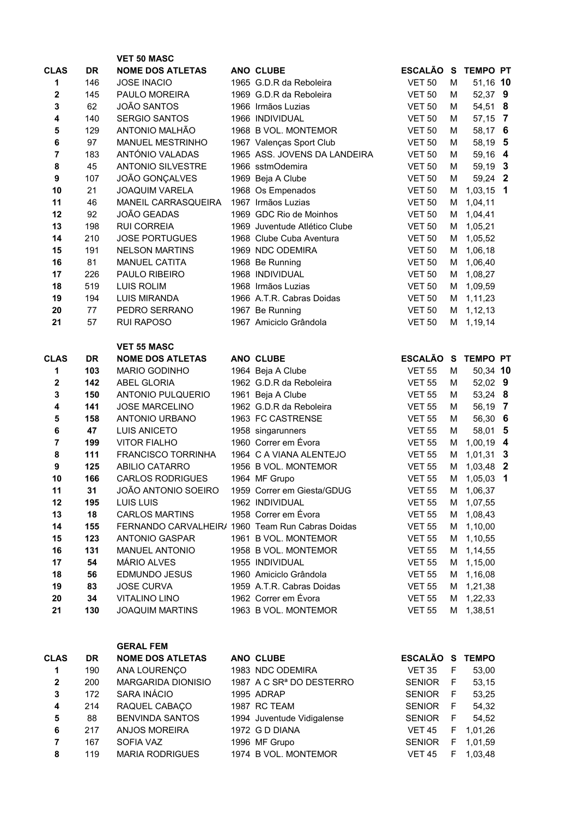|                  |           | <b>VET 50 MASC</b>                               |                                                   |                 |    |                 |                         |
|------------------|-----------|--------------------------------------------------|---------------------------------------------------|-----------------|----|-----------------|-------------------------|
| <b>CLAS</b>      | <b>DR</b> | <b>NOME DOS ATLETAS</b>                          | ANO CLUBE                                         | <b>ESCALÃO</b>  | S  | <b>TEMPO PT</b> |                         |
| 1                | 146       | <b>JOSE INACIO</b>                               | 1965 G.D.R da Reboleira                           | <b>VET 50</b>   | M  | 51,16 10        |                         |
| 2                | 145       | PAULO MOREIRA                                    | 1969 G.D.R da Reboleira                           | <b>VET 50</b>   | м  | 52,37 9         |                         |
| 3                | 62        | <b>JOÃO SANTOS</b>                               | 1966 Irmãos Luzias                                | <b>VET 50</b>   | м  | 54,51           | 8                       |
| 4                | 140       | <b>SERGIO SANTOS</b>                             | 1966 INDIVIDUAL                                   | <b>VET 50</b>   | м  | 57,15           | $\overline{7}$          |
| 5                | 129       | ANTONIO MALHÃO                                   | 1968 B VOL. MONTEMOR                              | <b>VET 50</b>   | м  | 58,17 6         |                         |
| 6                | 97        | <b>MANUEL MESTRINHO</b>                          | 1967 Valenças Sport Club                          | <b>VET 50</b>   | м  | 58,19           | 5                       |
| 7                | 183       | ANTÓNIO VALADAS                                  | 1965 ASS. JOVENS DA LANDEIRA                      | <b>VET 50</b>   | М  | 59,16           | $\overline{\mathbf{4}}$ |
| 8                | 45        | <b>ANTONIO SILVESTRE</b>                         | 1966 sstmOdemira                                  | <b>VET 50</b>   | М  | 59,19 3         |                         |
| $\boldsymbol{9}$ | 107       | JOÃO GONÇALVES                                   | 1969 Beja A Clube                                 | <b>VET 50</b>   | M  | 59,24 2         |                         |
| 10               | 21        | <b>JOAQUIM VARELA</b>                            | 1968 Os Empenados                                 | <b>VET 50</b>   | М  | $1,03,15$ 1     |                         |
| 11               | 46        | MANEIL CARRASQUEIRA                              | 1967 Irmãos Luzias                                | <b>VET 50</b>   | М  | 1,04,11         |                         |
| 12               | 92        | JOÃO GEADAS                                      | 1969 GDC Rio de Moinhos                           | <b>VET 50</b>   | м  | 1,04,41         |                         |
| 13               | 198       | <b>RUI CORREIA</b>                               | 1969 Juventude Atlético Clube                     | <b>VET 50</b>   | м  | 1,05,21         |                         |
| 14               | 210       | <b>JOSE PORTUGUES</b>                            | 1968 Clube Cuba Aventura                          | <b>VET 50</b>   | М  | 1,05,52         |                         |
| 15               | 191       | <b>NELSON MARTINS</b>                            | 1969 NDC ODEMIRA                                  | <b>VET 50</b>   | М  | 1,06,18         |                         |
| 16               | 81        | <b>MANUEL CATITA</b>                             | 1968 Be Running                                   | <b>VET 50</b>   | М  | 1,06,40         |                         |
| 17               | 226       | PAULO RIBEIRO                                    | 1968 INDIVIDUAL                                   | <b>VET 50</b>   | М  | 1,08,27         |                         |
| 18               | 519       | <b>LUIS ROLIM</b>                                | 1968 Irmãos Luzias                                | <b>VET 50</b>   | м  | 1,09,59         |                         |
| 19               | 194       | <b>LUIS MIRANDA</b>                              | 1966 A.T.R. Cabras Doidas                         | <b>VET 50</b>   | м  | 1,11,23         |                         |
| 20               | 77        | PEDRO SERRANO                                    | 1967 Be Running                                   | <b>VET 50</b>   | м  | 1,12,13         |                         |
| 21               | 57        | <b>RUI RAPOSO</b>                                | 1967 Amiciclo Grândola                            | <b>VET 50</b>   | М  | 1,19,14         |                         |
|                  |           |                                                  |                                                   |                 |    |                 |                         |
|                  |           | <b>VET 55 MASC</b>                               |                                                   |                 |    |                 |                         |
| <b>CLAS</b>      | <b>DR</b> | <b>NOME DOS ATLETAS</b>                          | ANO CLUBE                                         | <b>ESCALÃO</b>  | S  | <b>TEMPO PT</b> |                         |
| 1                | 103       | <b>MARIO GODINHO</b>                             | 1964 Beja A Clube                                 | <b>VET 55</b>   | M  | 50,34 10        |                         |
| $\mathbf 2$      | 142       | <b>ABEL GLORIA</b>                               | 1962 G.D.R da Reboleira                           | <b>VET 55</b>   | M  | 52,02 9         |                         |
| 3                | 150       | <b>ANTONIO PULQUERIO</b>                         | 1961 Beja A Clube                                 | <b>VET 55</b>   | М  | 53,24 8         |                         |
| 4                | 141       | <b>JOSE MARCELINO</b>                            | 1962 G.D.R da Reboleira                           | <b>VET 55</b>   | M  | 56,19           | $\overline{7}$          |
| 5                | 158       | <b>ANTONIO URBANO</b>                            | 1963 FC CASTRENSE                                 | <b>VET 55</b>   | M  | 56,30           | $6\phantom{1}6$         |
| 6                | 47        | <b>LUIS ANICETO</b>                              | 1958 singarunners                                 | <b>VET 55</b>   | М  | 58,01           | $\overline{\mathbf{5}}$ |
| 7                | 199       | <b>VITOR FIALHO</b>                              | 1960 Correr em Évora                              | <b>VET 55</b>   | M  | 1,00,19 4       |                         |
| 8                | 111       | <b>FRANCISCO TORRINHA</b>                        | 1964 C A VIANA ALENTEJO                           | <b>VET 55</b>   | M  | $1,01,31$ 3     |                         |
| $\boldsymbol{9}$ | 125       | <b>ABILIO CATARRO</b>                            | 1956 B VOL. MONTEMOR                              | <b>VET 55</b>   | м  | 1,03,48 2       |                         |
| 10               | 166       | <b>CARLOS RODRIGUES</b>                          | 1964 MF Grupo                                     | <b>VET 55</b>   | М  | 1,05,03 1       |                         |
| 11               | 31        | JOÃO ANTONIO SOEIRO                              | 1959 Correr em Giesta/GDUG                        | <b>VET 55</b>   | M  | 1,06,37         |                         |
| 12               | 195       | LUIS LUIS                                        | 1962 INDIVIDUAL                                   | <b>VET 55</b>   | м  | 1,07,55         |                         |
| 13               | 18        | <b>CARLOS MARTINS</b>                            | 1958 Correr em Évora                              | <b>VET 55</b>   | м  | 1,08,43         |                         |
| 14               | 155       | FERNANDO CARVALHEIR/ 1960 Team Run Cabras Doidas |                                                   | <b>VET 55</b>   | м  | 1,10,00         |                         |
| 15               | 123       | <b>ANTONIO GASPAR</b>                            | 1961 B VOL. MONTEMOR                              | <b>VET 55</b>   | м  | 1,10,55         |                         |
| 16               | 131       | <b>MANUEL ANTONIO</b>                            | 1958 B VOL. MONTEMOR                              | <b>VET 55</b>   | м  | 1,14,55         |                         |
| 17               | 54        | MÁRIO ALVES                                      | 1955 INDIVIDUAL<br>1960 Amiciclo Grândola         | <b>VET 55</b>   | м  | 1,15,00         |                         |
| 18               | 56        | <b>EDMUNDO JESUS</b>                             |                                                   | <b>VET 55</b>   | м  | 1,16,08         |                         |
| 19               | 83        | <b>JOSE CURVA</b>                                | 1959 A.T.R. Cabras Doidas<br>1962 Correr em Évora | <b>VET 55</b>   | м  | 1,21,38         |                         |
| 20               | 34        | <b>VITALINO LINO</b>                             | 1963 B VOL. MONTEMOR                              | <b>VET 55</b>   | м  | 1,22,33         |                         |
| 21               | 130       | <b>JOAQUIM MARTINS</b>                           |                                                   | <b>VET 55</b>   |    | M 1,38,51       |                         |
|                  |           |                                                  |                                                   |                 |    |                 |                         |
|                  |           | <b>GERAL FEM</b>                                 |                                                   |                 |    |                 |                         |
| <b>CLAS</b>      | <b>DR</b> | <b>NOME DOS ATLETAS</b>                          | ANO CLUBE                                         | ESCALÃO S TEMPO |    |                 |                         |
| 1                | 190       | ANA LOURENÇO                                     | 1983 NDC ODEMIRA                                  | <b>VET 35</b>   | F  | 53,00           |                         |
| $\bf 2$          | 200       | MARGARIDA DIONISIO                               | 1987 A C SR <sup>ª</sup> DO DESTERRO              | <b>SENIOR</b>   | F  | 53,15           |                         |
| ${\bf 3}$        | 172       | SARA INÁCIO                                      | 1995 ADRAP                                        | <b>SENIOR</b>   | F  | 53,25           |                         |
| 4                | 214       | RAQUEL CABAÇO                                    | 1987 RC TEAM                                      | <b>SENIOR</b>   | F  | 54,32           |                         |
| 5                | 88        | <b>BENVINDA SANTOS</b>                           | 1994 Juventude Vidigalense                        | <b>SENIOR</b>   | F  | 54,52           |                         |
| 6                | 217       | <b>ANJOS MOREIRA</b>                             | 1972 G D DIANA                                    | <b>VET 45</b>   | F  | 1,01,26         |                         |
| $\overline{7}$   | 167       | SOFIA VAZ                                        | 1996 MF Grupo                                     | <b>SENIOR</b>   | F  | 1,01,59         |                         |
| 8                | 119       | <b>MARIA RODRIGUES</b>                           | 1974 B VOL. MONTEMOR                              | <b>VET 45</b>   | F. | 1,03,48         |                         |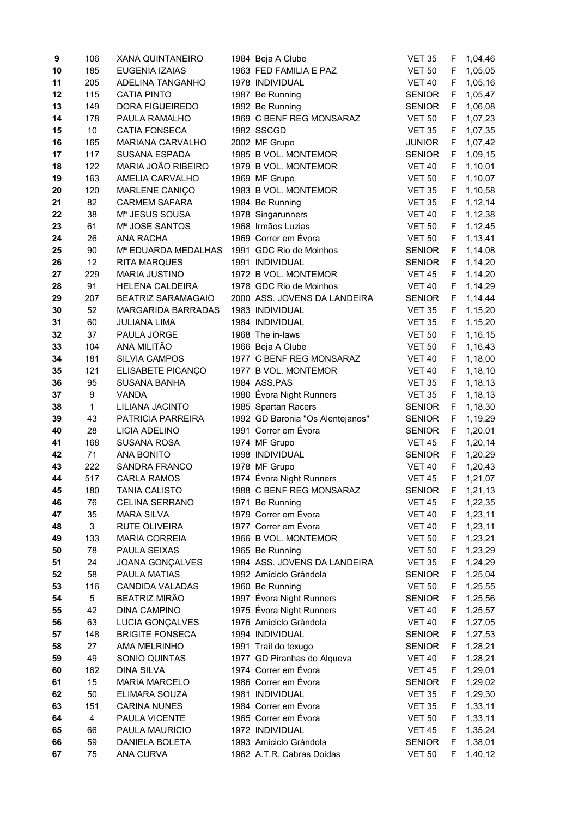| 9  | 106          | <b>XANA QUINTANEIRO</b>         | 1984 Beja A Clube                | <b>VET 35</b> | F | 1,04,46 |
|----|--------------|---------------------------------|----------------------------------|---------------|---|---------|
| 10 | 185          | <b>EUGENIA IZAIAS</b>           | 1963 FED FAMILIA E PAZ           | <b>VET 50</b> | F | 1,05,05 |
| 11 | 205          | ADELINA TANGANHO                | 1978 INDIVIDUAL                  | <b>VET 40</b> | F | 1,05,16 |
| 12 | 115          | <b>CATIA PINTO</b>              | 1987 Be Running                  | <b>SENIOR</b> | F | 1,05,47 |
| 13 | 149          | <b>DORA FIGUEIREDO</b>          | 1992 Be Running                  | <b>SENIOR</b> | F | 1,06,08 |
|    | 178          |                                 | 1969 C BENF REG MONSARAZ         |               | F |         |
| 14 |              | PAULA RAMALHO                   |                                  | <b>VET 50</b> |   | 1,07,23 |
| 15 | 10           | <b>CATIA FONSECA</b>            | 1982 SSCGD                       | <b>VET 35</b> | F | 1,07,35 |
| 16 | 165          | MARIANA CARVALHO                | 2002 MF Grupo                    | <b>JUNIOR</b> | F | 1,07,42 |
| 17 | 117          | <b>SUSANA ESPADA</b>            | 1985 B VOL. MONTEMOR             | <b>SENIOR</b> | F | 1,09,15 |
| 18 | 122          | MARIA JOÃO RIBEIRO              | 1979 B VOL. MONTEMOR             | <b>VET 40</b> | F | 1,10,01 |
| 19 | 163          | AMELIA CARVALHO                 | 1969 MF Grupo                    | <b>VET 50</b> | F | 1,10,07 |
| 20 | 120          | MARLENE CANIÇO                  | 1983 B VOL. MONTEMOR             | <b>VET 35</b> | F | 1,10,58 |
| 21 | 82           | <b>CARMEM SAFARA</b>            | 1984 Be Running                  | <b>VET 35</b> | F | 1,12,14 |
| 22 | 38           | Mª JESUS SOUSA                  | 1978 Singarunners                | <b>VET 40</b> | F | 1,12,38 |
| 23 | 61           | M <sup>a</sup> JOSE SANTOS      | 1968 Irmãos Luzias               | <b>VET 50</b> | F | 1,12,45 |
| 24 | 26           | <b>ANA RACHA</b>                | 1969 Correr em Évora             | <b>VET 50</b> | F | 1,13,41 |
| 25 | 90           | M <sup>a</sup> EDUARDA MEDALHAS | 1991 GDC Rio de Moinhos          | <b>SENIOR</b> | F | 1,14,08 |
| 26 | 12           | <b>RITA MARQUES</b>             | 1991 INDIVIDUAL                  | <b>SENIOR</b> | F | 1,14,20 |
| 27 | 229          | <b>MARIA JUSTINO</b>            | 1972 B VOL. MONTEMOR             | <b>VET 45</b> | F | 1,14,20 |
| 28 | 91           | <b>HELENA CALDEIRA</b>          | 1978 GDC Rio de Moinhos          | <b>VET 40</b> | F | 1,14,29 |
| 29 | 207          | <b>BEATRIZ SARAMAGAIO</b>       | 2000 ASS. JOVENS DA LANDEIRA     | <b>SENIOR</b> | F | 1,14,44 |
| 30 | 52           | MARGARIDA BARRADAS              | 1983 INDIVIDUAL                  | <b>VET 35</b> | F | 1,15,20 |
| 31 | 60           | <b>JULIANA LIMA</b>             | 1984 INDIVIDUAL                  | <b>VET 35</b> | F | 1,15,20 |
| 32 | 37           | PAULA JORGE                     | 1968 The in-laws                 | <b>VET 50</b> | F | 1,16,15 |
| 33 | 104          | ANA MILITÃO                     | 1966 Beja A Clube                | <b>VET 50</b> | F | 1,16,43 |
| 34 | 181          | SILVIA CAMPOS                   | 1977 C BENF REG MONSARAZ         | <b>VET 40</b> | F | 1,18,00 |
| 35 | 121          | ELISABETE PICANÇO               | 1977 B VOL. MONTEMOR             | <b>VET 40</b> | F | 1,18,10 |
| 36 | 95           | <b>SUSANA BANHA</b>             | 1984 ASS.PAS                     | <b>VET 35</b> | F | 1,18,13 |
| 37 | 9            | <b>VANDA</b>                    | 1980 Évora Night Runners         | <b>VET 35</b> | F | 1,18,13 |
| 38 | $\mathbf{1}$ | LILIANA JACINTO                 | 1985 Spartan Racers              | <b>SENIOR</b> | F | 1,18,30 |
| 39 | 43           | PATRICIA PARREIRA               | 1992 GD Baronia "Os Alentejanos" | <b>SENIOR</b> | F | 1,19,29 |
| 40 | 28           | <b>LICIA ADELINO</b>            | 1991 Correr em Évora             | <b>SENIOR</b> | F | 1,20,01 |
| 41 | 168          | <b>SUSANA ROSA</b>              | 1974 MF Grupo                    | <b>VET 45</b> | F | 1,20,14 |
| 42 | 71           | <b>ANA BONITO</b>               | 1998 INDIVIDUAL                  | <b>SENIOR</b> | F | 1,20,29 |
| 43 | 222          | <b>SANDRA FRANCO</b>            | 1978 MF Grupo                    | <b>VET 40</b> | F | 1,20,43 |
| 44 | 517          | <b>CARLA RAMOS</b>              | 1974 Évora Night Runners         | <b>VET 45</b> | F | 1,21,07 |
| 45 | 180          | <b>TANIA CALISTO</b>            | 1988 C BENF REG MONSARAZ         | <b>SENIOR</b> | F | 1,21,13 |
| 46 | 76           | <b>CELINA SERRANO</b>           | 1971 Be Running                  | <b>VET 45</b> | F | 1,22,35 |
| 47 | 35           | <b>MARA SILVA</b>               | 1979 Correr em Évora             | <b>VET 40</b> | F | 1,23,11 |
| 48 | 3            | RUTE OLIVEIRA                   | 1977 Correr em Évora             | <b>VET 40</b> | F | 1,23,11 |
| 49 | 133          | MARIA CORREIA                   | 1966 B VOL. MONTEMOR             | <b>VET 50</b> | F | 1,23,21 |
| 50 | 78           | PAULA SEIXAS                    | 1965 Be Running                  | <b>VET 50</b> | F | 1,23,29 |
| 51 | 24           | JOANA GONÇALVES                 | 1984 ASS. JOVENS DA LANDEIRA     | <b>VET 35</b> | F | 1,24,29 |
| 52 | 58           | PAULA MATIAS                    | 1992 Amiciclo Grândola           | <b>SENIOR</b> | F | 1,25,04 |
| 53 | 116          | <b>CANDIDA VALADAS</b>          | 1960 Be Running                  | <b>VET 50</b> | F | 1,25,55 |
| 54 | 5            | <b>BEATRIZ MIRÃO</b>            | 1997 Évora Night Runners         | <b>SENIOR</b> | F | 1,25,56 |
| 55 | 42           | DINA CAMPINO                    | 1975 Évora Night Runners         | <b>VET 40</b> | F | 1,25,57 |
| 56 | 63           | LUCIA GONÇALVES                 | 1976 Amiciclo Grândola           | <b>VET 40</b> | F | 1,27,05 |
| 57 | 148          | <b>BRIGITE FONSECA</b>          | 1994 INDIVIDUAL                  | <b>SENIOR</b> | F | 1,27,53 |
| 58 | 27           | AMA MELRINHO                    | 1991 Trail do texugo             | <b>SENIOR</b> | F | 1,28,21 |
| 59 | 49           | SONIO QUINTAS                   | 1977 GD Piranhas do Alqueva      | <b>VET 40</b> | F | 1,28,21 |
| 60 | 162          | <b>DINA SILVA</b>               | 1974 Correr em Évora             | <b>VET 45</b> | F | 1,29,01 |
| 61 | 15           | <b>MARIA MARCELO</b>            | 1986 Correr em Évora             | <b>SENIOR</b> | F | 1,29,02 |
| 62 | 50           | ELIMARA SOUZA                   | 1981 INDIVIDUAL                  | <b>VET 35</b> | F | 1,29,30 |
| 63 | 151          | <b>CARINA NUNES</b>             | 1984 Correr em Évora             | <b>VET 35</b> | F | 1,33,11 |
| 64 | 4            | PAULA VICENTE                   | 1965 Correr em Évora             | <b>VET 50</b> | F | 1,33,11 |
| 65 | 66           | PAULA MAURICIO                  | 1972 INDIVIDUAL                  | <b>VET 45</b> | F | 1,35,24 |
| 66 | 59           | DANIELA BOLETA                  | 1993 Amiciclo Grândola           | <b>SENIOR</b> | F | 1,38,01 |
| 67 | 75           | ANA CURVA                       | 1962 A.T.R. Cabras Doidas        | <b>VET 50</b> | F | 1,40,12 |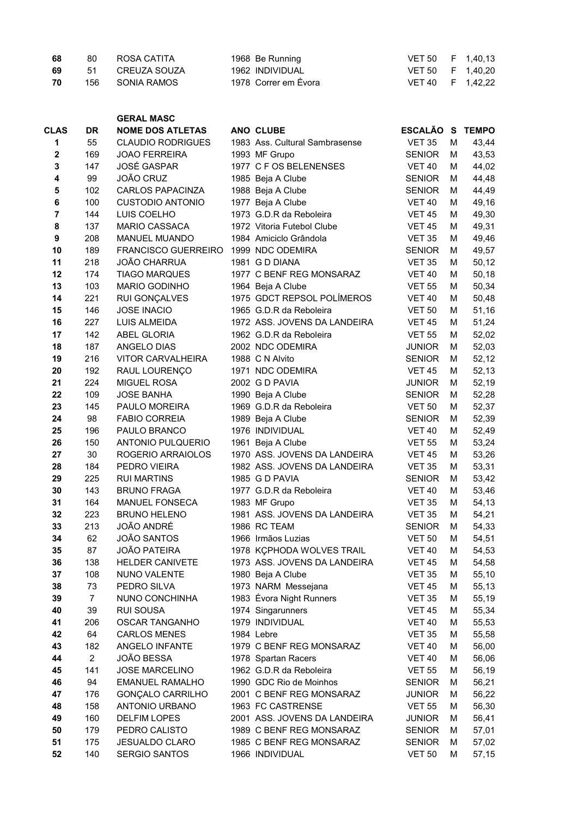| 68 | 80 | ROSA CATITA     | 1968 Be Running      | VET 50 F 1,40,13 |  |
|----|----|-----------------|----------------------|------------------|--|
| 69 | 51 | CREUZA SOUZA    | 1962 INDIVIDUAL      | VET 50 F 1,40,20 |  |
| 70 |    | 156 SONIA RAMOS | 1978 Correr em Évora | VET 40 F 1,42,22 |  |

|             |                | <b>GERAL MASC</b>          |                                      |                |   |              |
|-------------|----------------|----------------------------|--------------------------------------|----------------|---|--------------|
| <b>CLAS</b> | DR             | <b>NOME DOS ATLETAS</b>    | ANO CLUBE                            | <b>ESCALÃO</b> | S | <b>TEMPO</b> |
| 1           | 55             | <b>CLAUDIO RODRIGUES</b>   | 1983 Ass. Cultural Sambrasense       | <b>VET 35</b>  | M | 43,44        |
| $\mathbf 2$ | 169            | <b>JOAO FERREIRA</b>       | 1993 MF Grupo                        | <b>SENIOR</b>  | м | 43,53        |
| 3           | 147            | <b>JOSÉ GASPAR</b>         | 1977 C F OS BELENENSES               | <b>VET 40</b>  | м | 44,02        |
| 4           | 99             | <b>JOÃO CRUZ</b>           | 1985 Beja A Clube                    | <b>SENIOR</b>  | м | 44,48        |
| 5           | 102            | <b>CARLOS PAPACINZA</b>    | 1988 Beja A Clube                    | <b>SENIOR</b>  | м | 44,49        |
| 6           | 100            | <b>CUSTODIO ANTONIO</b>    | 1977 Beja A Clube                    | <b>VET 40</b>  | м | 49,16        |
| 7           | 144            | LUIS COELHO                | 1973 G.D.R da Reboleira              | <b>VET 45</b>  | м | 49,30        |
| 8           | 137            | MARIO CASSACA              | 1972 Vitoria Futebol Clube           | <b>VET 45</b>  | м | 49,31        |
| 9           | 208            | MANUEL MUANDO              | 1984 Amiciclo Grândola               | <b>VET 35</b>  | м | 49,46        |
| 10          | 189            | <b>FRANCISCO GUERREIRO</b> | 1999 NDC ODEMIRA                     | <b>SENIOR</b>  | м | 49,57        |
| 11          | 218            | <b>JOÃO CHARRUA</b>        | 1981 G D DIANA                       | <b>VET 35</b>  | м | 50,12        |
| 12          | 174            | <b>TIAGO MARQUES</b>       | 1977 C BENF REG MONSARAZ             | <b>VET 40</b>  | м | 50,18        |
| 13          | 103            | MARIO GODINHO              | 1964 Beja A Clube                    | <b>VET 55</b>  | м | 50,34        |
| 14          | 221            | RUI GONÇALVES              | 1975 GDCT REPSOL POLÍMEROS           | <b>VET 40</b>  | M | 50,48        |
| 15          | 146            | <b>JOSE INACIO</b>         | 1965 G.D.R da Reboleira              | <b>VET 50</b>  | M | 51,16        |
| 16          | 227            | LUIS ALMEIDA               | 1972 ASS. JOVENS DA LANDEIRA         | <b>VET 45</b>  | M | 51,24        |
| 17          | 142            | <b>ABEL GLORIA</b>         | 1962 G.D.R da Reboleira              | <b>VET 55</b>  | M | 52,02        |
| 18          | 187            | ANGELO DIAS                | 2002 NDC ODEMIRA                     | <b>JUNIOR</b>  | M | 52,03        |
| 19          | 216            | <b>VITOR CARVALHEIRA</b>   | 1988 C N Alvito                      | <b>SENIOR</b>  | м | 52,12        |
| 20          | 192            | RAUL LOURENÇO              | 1971 NDC ODEMIRA                     | <b>VET 45</b>  | M | 52,13        |
| 21          | 224            | <b>MIGUEL ROSA</b>         | 2002 G D PAVIA                       | <b>JUNIOR</b>  | м | 52,19        |
| 22          | 109            | <b>JOSE BANHA</b>          | 1990 Beja A Clube                    | <b>SENIOR</b>  | м | 52,28        |
| 23          | 145            | PAULO MOREIRA              | 1969 G.D.R da Reboleira              | <b>VET 50</b>  | M | 52,37        |
| 24          | 98             | <b>FABIO CORREIA</b>       |                                      | <b>SENIOR</b>  | м | 52,39        |
| 25          | 196            | PAULO BRANCO               | 1989 Beja A Clube<br>1976 INDIVIDUAL | <b>VET 40</b>  | м | 52,49        |
|             |                |                            | 1961 Beja A Clube                    |                |   |              |
| 26          | 150<br>30      | ANTONIO PULQUERIO          |                                      | <b>VET 55</b>  | M | 53,24        |
| 27          |                | ROGERIO ARRAIOLOS          | 1970 ASS. JOVENS DA LANDEIRA         | <b>VET 45</b>  | м | 53,26        |
| 28          | 184            | PEDRO VIEIRA               | 1982 ASS. JOVENS DA LANDEIRA         | <b>VET 35</b>  | M | 53,31        |
| 29          | 225            | <b>RUI MARTINS</b>         | 1985 G D PAVIA                       | <b>SENIOR</b>  | M | 53,42        |
| 30          | 143            | <b>BRUNO FRAGA</b>         | 1977 G.D.R da Reboleira              | <b>VET 40</b>  | M | 53,46        |
| 31          | 164            | <b>MANUEL FONSECA</b>      | 1983 MF Grupo                        | <b>VET 35</b>  | M | 54,13        |
| 32          | 223            | <b>BRUNO HELENO</b>        | 1981 ASS. JOVENS DA LANDEIRA         | <b>VET 35</b>  | M | 54,21        |
| 33          | 213            | JOÃO ANDRÉ                 | 1986 RC TEAM                         | <b>SENIOR</b>  | м | 54,33        |
| 34          | 62             | JOÃO SANTOS                | 1966 Irmãos Luzias                   | <b>VET 50</b>  | M | 54,51        |
| 35          | 87             | <b>JOÃO PATEIRA</b>        | 1978 KÇPHODA WOLVES TRAIL            | VET 40         | М | 54,53        |
| 36          | 138            | <b>HELDER CANIVETE</b>     | 1973 ASS. JOVENS DA LANDEIRA         | <b>VET 45</b>  | М | 54,58        |
| 37          | 108            | NUNO VALENTE               | 1980 Beja A Clube                    | <b>VET 35</b>  | М | 55,10        |
| 38          | 73             | PEDRO SILVA                | 1973 NARM Messejana                  | <b>VET 45</b>  | М | 55,13        |
| 39          | $\overline{7}$ | NUNO CONCHINHA             | 1983 Évora Night Runners             | <b>VET 35</b>  | М | 55,19        |
| 40          | 39             | <b>RUI SOUSA</b>           | 1974 Singarunners                    | <b>VET 45</b>  | М | 55,34        |
| 41          | 206            | <b>OSCAR TANGANHO</b>      | 1979 INDIVIDUAL                      | <b>VET 40</b>  | M | 55,53        |
| 42          | 64             | <b>CARLOS MENES</b>        | 1984 Lebre                           | <b>VET 35</b>  | M | 55,58        |
| 43          | 182            | ANGELO INFANTE             | 1979 C BENF REG MONSARAZ             | <b>VET 40</b>  | M | 56,00        |
| 44          | $\overline{2}$ | JOÃO BESSA                 | 1978 Spartan Racers                  | <b>VET 40</b>  | M | 56,06        |
| 45          | 141            | <b>JOSE MARCELINO</b>      | 1962 G.D.R da Reboleira              | <b>VET 55</b>  | M | 56,19        |
| 46          | 94             | <b>EMANUEL RAMALHO</b>     | 1990 GDC Rio de Moinhos              | <b>SENIOR</b>  | M | 56,21        |
| 47          | 176            | <b>GONÇALO CARRILHO</b>    | 2001 C BENF REG MONSARAZ             | <b>JUNIOR</b>  | M | 56,22        |
| 48          | 158            | ANTONIO URBANO             | 1963 FC CASTRENSE                    | <b>VET 55</b>  | М | 56,30        |
| 49          | 160            | <b>DELFIM LOPES</b>        | 2001 ASS. JOVENS DA LANDEIRA         | <b>JUNIOR</b>  | М | 56,41        |
| 50          | 179            | PEDRO CALISTO              | 1989 C BENF REG MONSARAZ             | <b>SENIOR</b>  | М | 57,01        |
| 51          | 175            | <b>JESUALDO CLARO</b>      | 1985 C BENF REG MONSARAZ             | <b>SENIOR</b>  | М | 57,02        |
| 52          | 140            | <b>SERGIO SANTOS</b>       | 1966 INDIVIDUAL                      | <b>VET 50</b>  | М | 57,15        |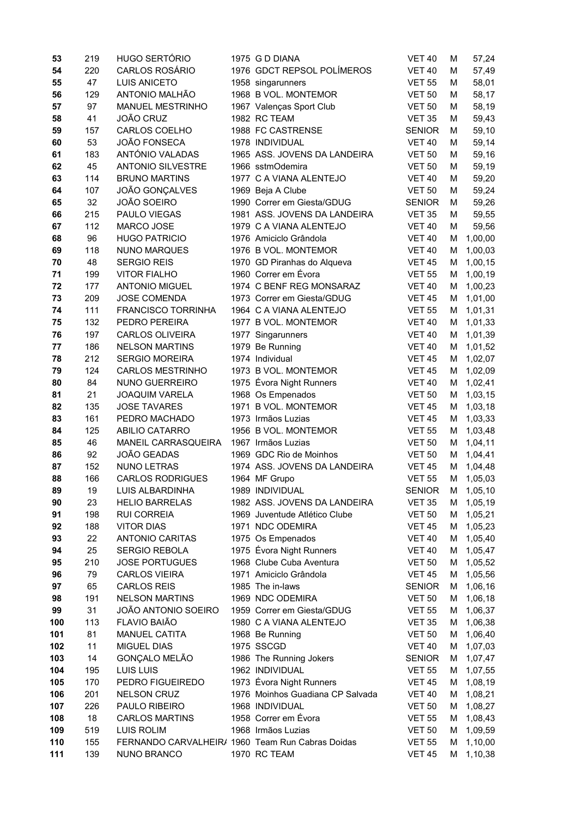| 53       | 219        | <b>HUGO SERTÓRIO</b>                             | 1975 G D DIANA                                   | <b>VET 40</b>                  |        |                    |
|----------|------------|--------------------------------------------------|--------------------------------------------------|--------------------------------|--------|--------------------|
|          |            | <b>CARLOS ROSÁRIO</b>                            |                                                  |                                | M      | 57,24              |
| 54       | 220        |                                                  | 1976 GDCT REPSOL POLÍMEROS                       | <b>VET 40</b>                  | M      | 57,49              |
| 55       | 47         | <b>LUIS ANICETO</b>                              | 1958 singarunners                                | <b>VET 55</b>                  | M      | 58,01              |
| 56       | 129        | ANTONIO MALHÃO                                   | 1968 B VOL. MONTEMOR                             | <b>VET 50</b>                  | M      | 58,17              |
| 57       | 97         | <b>MANUEL MESTRINHO</b>                          | 1967 Valenças Sport Club                         | <b>VET 50</b>                  | М      | 58,19              |
| 58       | 41         | JOÃO CRUZ                                        | 1982 RC TEAM                                     | <b>VET 35</b>                  | М      | 59,43              |
| 59       | 157        | CARLOS COELHO                                    | 1988 FC CASTRENSE                                | <b>SENIOR</b>                  | М      | 59,10              |
| 60       | 53         | <b>JOÃO FONSECA</b>                              | 1978 INDIVIDUAL                                  | <b>VET 40</b>                  | M      | 59,14              |
| 61       | 183        | ANTÓNIO VALADAS                                  | 1965 ASS. JOVENS DA LANDEIRA                     | <b>VET 50</b>                  | М      | 59,16              |
| 62       | 45         | <b>ANTONIO SILVESTRE</b>                         | 1966 sstmOdemira                                 | <b>VET 50</b>                  | М      | 59,19              |
| 63       | 114        | <b>BRUNO MARTINS</b>                             | 1977 C A VIANA ALENTEJO                          | <b>VET 40</b>                  | М      | 59,20              |
| 64       | 107        | JOÃO GONÇALVES                                   | 1969 Beja A Clube                                | <b>VET 50</b>                  | м      | 59,24              |
| 65       | 32         | <b>JOÃO SOEIRO</b>                               | 1990 Correr em Giesta/GDUG                       | <b>SENIOR</b>                  | м      | 59,26              |
| 66       | 215        | PAULO VIEGAS                                     | 1981 ASS. JOVENS DA LANDEIRA                     | <b>VET 35</b>                  | м      | 59,55              |
| 67       | 112        | MARCO JOSE                                       | 1979 C A VIANA ALENTEJO                          | <b>VET 40</b>                  | М      | 59,56              |
| 68       | 96         | <b>HUGO PATRICIO</b>                             | 1976 Amiciclo Grândola                           | <b>VET 40</b>                  | M      | 1,00,00            |
| 69       | 118        | <b>NUNO MARQUES</b>                              | 1976 B VOL. MONTEMOR                             | <b>VET 40</b>                  | м      | 1,00,03            |
| 70       | 48         | <b>SERGIO REIS</b>                               | 1970 GD Piranhas do Alqueva                      | <b>VET 45</b>                  | М      | 1,00,15            |
| 71       | 199        | <b>VITOR FIALHO</b>                              | 1960 Correr em Évora<br>1974 C BENF REG MONSARAZ | <b>VET 55</b>                  | M      | 1,00,19            |
| 72       | 177<br>209 | <b>ANTONIO MIGUEL</b><br><b>JOSE COMENDA</b>     |                                                  | <b>VET 40</b>                  | M      | 1,00,23            |
| 73       | 111        |                                                  | 1973 Correr em Giesta/GDUG                       | <b>VET 45</b>                  | M      | 1,01,00            |
| 74       |            | <b>FRANCISCO TORRINHA</b>                        | 1964 C A VIANA ALENTEJO<br>1977 B VOL. MONTEMOR  | <b>VET 55</b>                  | м      | 1,01,31            |
| 75<br>76 | 132<br>197 | PEDRO PEREIRA<br><b>CARLOS OLIVEIRA</b>          | 1977 Singarunners                                | <b>VET 40</b><br><b>VET 40</b> | М<br>M | 1,01,33            |
| 77       | 186        | <b>NELSON MARTINS</b>                            | 1979 Be Running                                  | <b>VET 40</b>                  | M      | 1,01,39            |
| 78       | 212        | <b>SERGIO MOREIRA</b>                            | 1974 Individual                                  | <b>VET 45</b>                  | М      | 1,01,52<br>1,02,07 |
| 79       | 124        | <b>CARLOS MESTRINHO</b>                          | 1973 B VOL. MONTEMOR                             | <b>VET 45</b>                  | М      | 1,02,09            |
| 80       | 84         | NUNO GUERREIRO                                   | 1975 Évora Night Runners                         | <b>VET 40</b>                  | м      | 1,02,41            |
| 81       | 21         | <b>JOAQUIM VARELA</b>                            | 1968 Os Empenados                                | <b>VET 50</b>                  | М      | 1,03,15            |
| 82       | 135        | <b>JOSE TAVARES</b>                              | 1971 B VOL. MONTEMOR                             | <b>VET 45</b>                  | М      | 1,03,18            |
| 83       | 161        | PEDRO MACHADO                                    | 1973 Irmãos Luzias                               | <b>VET 45</b>                  | М      | 1,03,33            |
| 84       | 125        | <b>ABILIO CATARRO</b>                            | 1956 B VOL. MONTEMOR                             | <b>VET 55</b>                  | М      | 1,03,48            |
| 85       | 46         | MANEIL CARRASQUEIRA                              | 1967 Irmãos Luzias                               | <b>VET 50</b>                  | M      | 1,04,11            |
| 86       | 92         | JOÃO GEADAS                                      | 1969 GDC Rio de Moinhos                          | <b>VET 50</b>                  | M      | 1,04,41            |
| 87       | 152        | NUNO LETRAS                                      | 1974 ASS. JOVENS DA LANDEIRA                     | <b>VET 45</b>                  | M      | 1,04,48            |
| 88       | 166        | <b>CARLOS RODRIGUES</b>                          | 1964 MF Grupo                                    | <b>VET 55</b>                  | М      | 1,05,03            |
| 89       | 19         | LUIS ALBARDINHA                                  | 1989 INDIVIDUAL                                  | <b>SENIOR</b>                  | M      | 1,05,10            |
| 90       | 23         | <b>HELIO BARRELAS</b>                            | 1982 ASS. JOVENS DA LANDEIRA                     | <b>VET 35</b>                  | м      | 1,05,19            |
| 91       | 198        | <b>RUI CORREIA</b>                               | 1969 Juventude Atlético Clube                    | <b>VET 50</b>                  | M      | 1,05,21            |
| 92       | 188        | <b>VITOR DIAS</b>                                | 1971 NDC ODEMIRA                                 | <b>VET 45</b>                  | м      | 1,05,23            |
| 93       | 22         | <b>ANTONIO CARITAS</b>                           | 1975 Os Empenados                                | <b>VET 40</b>                  | м      | 1,05,40            |
| 94       | 25         | SERGIO REBOLA                                    | 1975 Évora Night Runners                         | <b>VET 40</b>                  | м      | 1,05,47            |
| 95       | 210        | <b>JOSE PORTUGUES</b>                            | 1968 Clube Cuba Aventura                         | <b>VET 50</b>                  | M      | 1,05,52            |
| 96       | 79         | <b>CARLOS VIEIRA</b>                             | 1971 Amiciclo Grândola                           | <b>VET 45</b>                  | M      | 1,05,56            |
| 97       | 65         | <b>CARLOS REIS</b>                               | 1985 The in-laws                                 | <b>SENIOR</b>                  | M      | 1,06,16            |
| 98       | 191        | <b>NELSON MARTINS</b>                            | 1969 NDC ODEMIRA                                 | <b>VET 50</b>                  | M      | 1,06,18            |
| 99       | 31         | JOÃO ANTONIO SOEIRO                              | 1959 Correr em Giesta/GDUG                       | <b>VET 55</b>                  | M      | 1,06,37            |
| 100      | 113        | FLAVIO BAIÃO                                     | 1980 C A VIANA ALENTEJO                          | <b>VET 35</b>                  | M      | 1,06,38            |
| 101      | 81         | <b>MANUEL CATITA</b>                             | 1968 Be Running                                  | <b>VET 50</b>                  | M      | 1,06,40            |
| 102      | 11         | MIGUEL DIAS                                      | 1975 SSCGD                                       | <b>VET 40</b>                  | M      | 1,07,03            |
| 103      | 14         | GONÇALO MELÃO                                    | 1986 The Running Jokers                          | <b>SENIOR</b>                  | M      | 1,07,47            |
| 104      | 195        | LUIS LUIS                                        | 1962 INDIVIDUAL                                  | <b>VET 55</b>                  | M      | 1,07,55            |
| 105      | 170        | PEDRO FIGUEIREDO                                 | 1973 Évora Night Runners                         | <b>VET 45</b>                  | M      | 1,08,19            |
| 106      | 201        | <b>NELSON CRUZ</b>                               | 1976 Moinhos Guadiana CP Salvada                 | <b>VET 40</b>                  | M      | 1,08,21            |
| 107      | 226        | PAULO RIBEIRO                                    | 1968 INDIVIDUAL                                  | <b>VET 50</b>                  | M      | 1,08,27            |
| 108      | 18         | <b>CARLOS MARTINS</b>                            | 1958 Correr em Évora                             | <b>VET 55</b>                  | M      | 1,08,43            |
| 109      | 519        | <b>LUIS ROLIM</b>                                | 1968 Irmãos Luzias                               | <b>VET 50</b>                  | M      | 1,09,59            |
| 110      | 155        | FERNANDO CARVALHEIR/ 1960 Team Run Cabras Doidas |                                                  | <b>VET 55</b>                  | M      | 1,10,00            |
| 111      | 139        | NUNO BRANCO                                      | 1970 RC TEAM                                     | <b>VET 45</b>                  | м      | 1,10,38            |